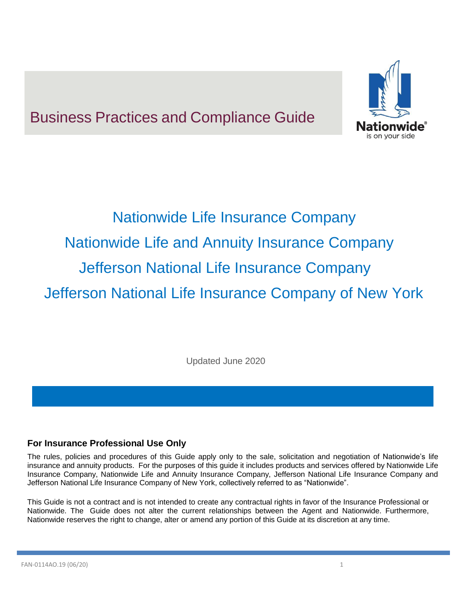# Business Practices and Compliance Guide



# Nationwide Life Insurance Company Nationwide Life and Annuity Insurance Company Jefferson National Life Insurance Company Jefferson National Life Insurance Company of New York

Updated June 2020

# **For Insurance Professional Use Only**

The rules, policies and procedures of this Guide apply only to the sale, solicitation and negotiation of Nationwide's life insurance and annuity products. For the purposes of this guide it includes products and services offered by Nationwide Life Insurance Company, Nationwide Life and Annuity Insurance Company, Jefferson National Life Insurance Company and Jefferson National Life Insurance Company of New York, collectively referred to as "Nationwide".

This Guide is not a contract and is not intended to create any contractual rights in favor of the Insurance Professional or Nationwide. The Guide does not alter the current relationships between the Agent and Nationwide. Furthermore, Nationwide reserves the right to change, alter or amend any portion of this Guide at its discretion at any time.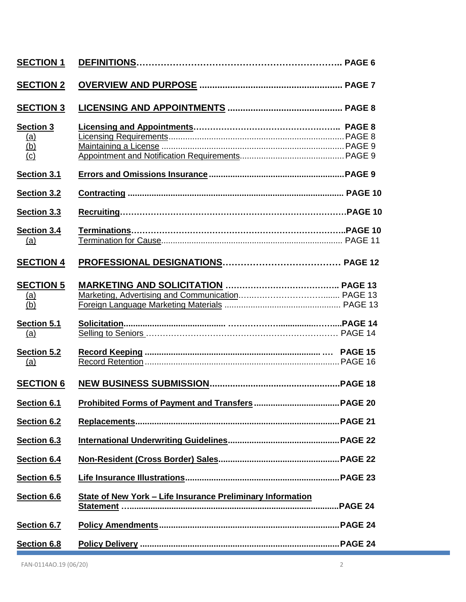| <b>SECTION 1</b>                                    |                                                                   |  |
|-----------------------------------------------------|-------------------------------------------------------------------|--|
| <b>SECTION 2</b>                                    |                                                                   |  |
| <b>SECTION 3</b>                                    |                                                                   |  |
| <b>Section 3</b><br><u>(a)</u><br>$\frac{(b)}{(c)}$ |                                                                   |  |
| Section 3.1                                         |                                                                   |  |
| Section 3.2                                         |                                                                   |  |
| Section 3.3                                         |                                                                   |  |
| Section 3.4<br>(a)                                  |                                                                   |  |
| <b>SECTION 4</b>                                    |                                                                   |  |
| <b>SECTION 5</b><br>$\frac{(a)}{(b)}$               |                                                                   |  |
| Section 5.1<br>(a)                                  |                                                                   |  |
| Section 5.2<br><u>(a)</u>                           |                                                                   |  |
| <b>SECTION 6</b>                                    |                                                                   |  |
| Section 6.1                                         |                                                                   |  |
| Section 6.2                                         |                                                                   |  |
| Section 6.3                                         |                                                                   |  |
| Section 6.4                                         |                                                                   |  |
| Section 6.5                                         |                                                                   |  |
| Section 6.6                                         | <b>State of New York - Life Insurance Preliminary Information</b> |  |
| Section 6.7                                         |                                                                   |  |
| Section 6.8                                         |                                                                   |  |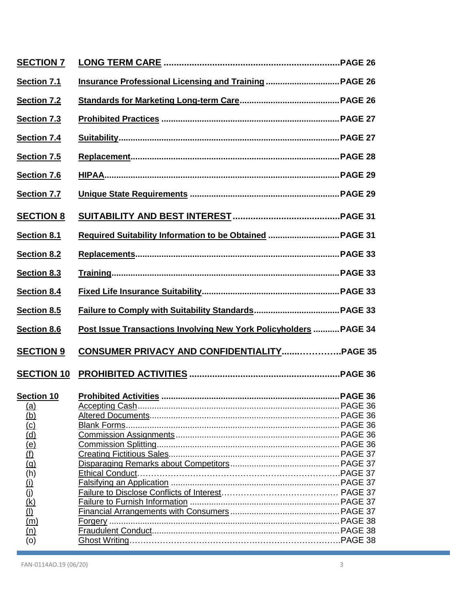| <b>SECTION 7</b>                       |                                                                   |  |
|----------------------------------------|-------------------------------------------------------------------|--|
| Section 7.1                            |                                                                   |  |
| Section 7.2                            |                                                                   |  |
| Section 7.3                            |                                                                   |  |
| Section 7.4                            |                                                                   |  |
| Section 7.5                            |                                                                   |  |
| Section 7.6                            |                                                                   |  |
| <b>Section 7.7</b>                     |                                                                   |  |
| <b>SECTION 8</b>                       |                                                                   |  |
| Section 8.1                            | Required Suitability Information to be Obtained  PAGE 31          |  |
| Section 8.2                            |                                                                   |  |
| Section 8.3                            |                                                                   |  |
| Section 8.4                            |                                                                   |  |
|                                        |                                                                   |  |
| Section 8.5                            |                                                                   |  |
| Section 8.6                            | Post Issue Transactions Involving New York Policyholders  PAGE 34 |  |
| <b>SECTION 9</b>                       |                                                                   |  |
| <b>SECTION 10</b>                      |                                                                   |  |
|                                        |                                                                   |  |
|                                        |                                                                   |  |
|                                        |                                                                   |  |
| $\frac{(a)}{(b)}$                      |                                                                   |  |
| $\overline{c}$                         |                                                                   |  |
|                                        |                                                                   |  |
|                                        |                                                                   |  |
| $\frac{(d)}{(e)}$<br>$\frac{(f)}{(f)}$ |                                                                   |  |
| $\overline{(h)}$                       |                                                                   |  |
|                                        |                                                                   |  |
| $\frac{1}{2}$                          |                                                                   |  |
|                                        |                                                                   |  |
| $\frac{(\dot{k})}{(\underline{l})}$    |                                                                   |  |
| $\overline{\text{ (m)}}$               |                                                                   |  |
| (n)<br>(0)                             |                                                                   |  |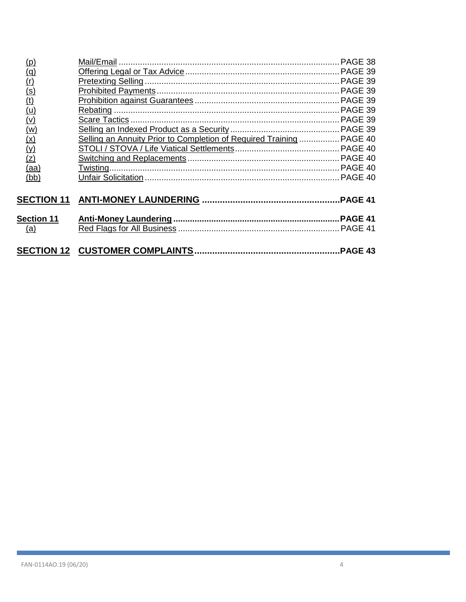| (p)                                 |                                                                      |  |
|-------------------------------------|----------------------------------------------------------------------|--|
| (q)                                 |                                                                      |  |
| (r)                                 |                                                                      |  |
|                                     |                                                                      |  |
|                                     |                                                                      |  |
|                                     |                                                                      |  |
| $\frac{(s)}{(t)}$ $\frac{(u)}{(v)}$ |                                                                      |  |
| (w)                                 |                                                                      |  |
| (x)                                 | Selling an Annuity Prior to Completion of Required Training  PAGE 40 |  |
| (y)                                 |                                                                      |  |
| (z)                                 |                                                                      |  |
| (aa)                                |                                                                      |  |
| (bb)                                |                                                                      |  |
|                                     |                                                                      |  |
|                                     |                                                                      |  |
|                                     |                                                                      |  |
| <b>Section 11</b>                   |                                                                      |  |
| (a)                                 |                                                                      |  |
|                                     |                                                                      |  |
|                                     |                                                                      |  |
|                                     |                                                                      |  |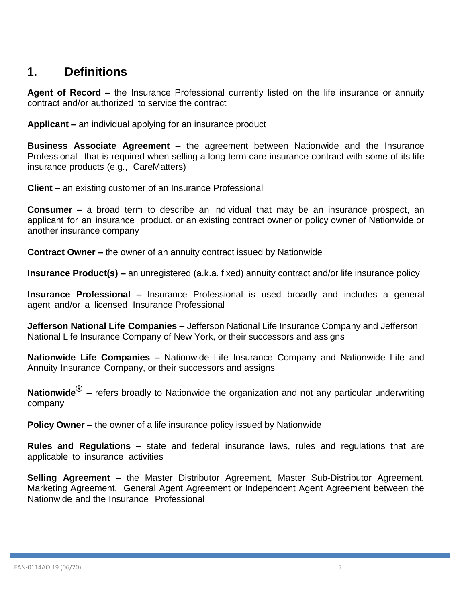# <span id="page-4-0"></span>**1. Definitions**

**Agent of Record –** the Insurance Professional currently listed on the life insurance or annuity contract and/or authorized to service the contract

**Applicant –** an individual applying for an insurance product

**Business Associate Agreement –** the agreement between Nationwide and the Insurance Professional that is required when selling a long-term care insurance contract with some of its life insurance products (e.g., CareMatters)

**Client –** an existing customer of an Insurance Professional

**Consumer –** a broad term to describe an individual that may be an insurance prospect, an applicant for an insurance product, or an existing contract owner or policy owner of Nationwide or another insurance company

**Contract Owner –** the owner of an annuity contract issued by Nationwide

**Insurance Product(s) –** an unregistered (a.k.a. fixed) annuity contract and/or life insurance policy

**Insurance Professional –** Insurance Professional is used broadly and includes a general agent and/or a licensed Insurance Professional

**Jefferson National Life Companies –** Jefferson National Life Insurance Company and Jefferson National Life Insurance Company of New York, or their successors and assigns

**Nationwide Life Companies –** Nationwide Life Insurance Company and Nationwide Life and Annuity Insurance Company, or their successors and assigns

**Nationwide® –** refers broadly to Nationwide the organization and not any particular underwriting company

**Policy Owner –** the owner of a life insurance policy issued by Nationwide

**Rules and Regulations –** state and federal insurance laws, rules and regulations that are applicable to insurance activities

**Selling Agreement –** the Master Distributor Agreement, Master Sub-Distributor Agreement, Marketing Agreement, General Agent Agreement or Independent Agent Agreement between the Nationwide and the Insurance Professional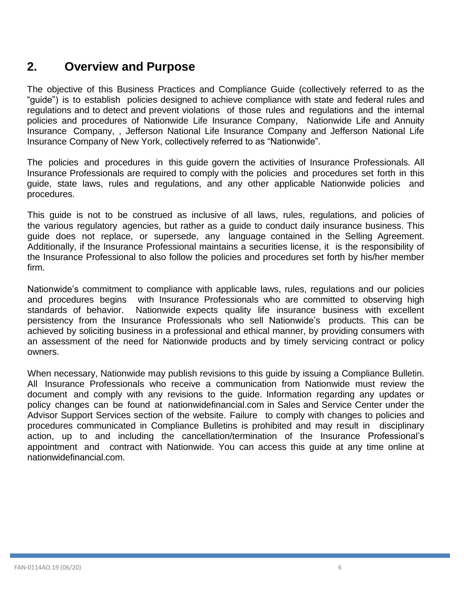# <span id="page-5-0"></span>**2. Overview and Purpose**

The objective of this Business Practices and Compliance Guide (collectively referred to as the "guide") is to establish policies designed to achieve compliance with state and federal rules and regulations and to detect and prevent violations of those rules and regulations and the internal policies and procedures of Nationwide Life Insurance Company, Nationwide Life and Annuity Insurance Company, , Jefferson National Life Insurance Company and Jefferson National Life Insurance Company of New York, collectively referred to as "Nationwide".

The policies and procedures in this guide govern the activities of Insurance Professionals. All Insurance Professionals are required to comply with the policies and procedures set forth in this guide, state laws, rules and regulations, and any other applicable Nationwide policies and procedures.

This guide is not to be construed as inclusive of all laws, rules, regulations, and policies of the various regulatory agencies, but rather as a guide to conduct daily insurance business. This guide does not replace, or supersede, any language contained in the Selling Agreement. Additionally, if the Insurance Professional maintains a securities license, it is the responsibility of the Insurance Professional to also follow the policies and procedures set forth by his/her member firm.

Nationwide's commitment to compliance with applicable laws, rules, regulations and our policies and procedures begins with Insurance Professionals who are committed to observing high standards of behavior. Nationwide expects quality life insurance business with excellent persistency from the Insurance Professionals who sell Nationwide's products. This can be achieved by soliciting business in a professional and ethical manner, by providing consumers with an assessment of the need for Nationwide products and by timely servicing contract or policy owners.

When necessary, Nationwide may publish revisions to this guide by issuing a Compliance Bulletin. All Insurance Professionals who receive a communication from Nationwide must review the document and comply with any revisions to the guide. Information regarding any updates or policy changes can be found at nationwidefinancial.com in Sales and Service Center under the Advisor Support Services section of the website. Failure to comply with changes to policies and procedures communicated in Compliance Bulletins is prohibited and may result in disciplinary action, up to and including the cancellation/termination of the Insurance Professional's appointment and contract with Nationwide. You can access this guide at any time online at nationwidefinancial.com.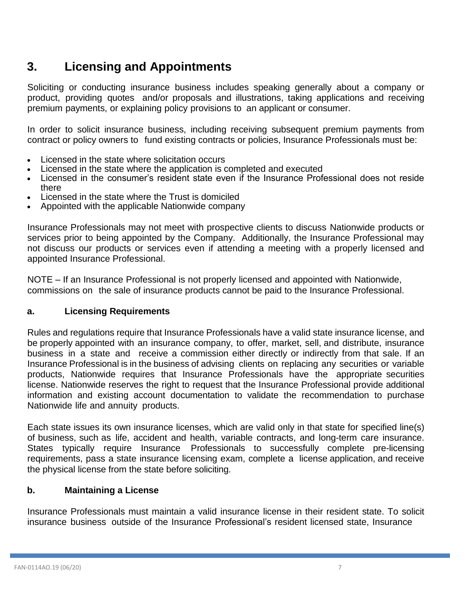# <span id="page-6-0"></span>**3. Licensing and Appointments**

Soliciting or conducting insurance business includes speaking generally about a company or product, providing quotes and/or proposals and illustrations, taking applications and receiving premium payments, or explaining policy provisions to an applicant or consumer.

In order to solicit insurance business, including receiving subsequent premium payments from contract or policy owners to fund existing contracts or policies, Insurance Professionals must be:

- Licensed in the state where solicitation occurs
- Licensed in the state where the application is completed and executed
- Licensed in the consumer's resident state even if the Insurance Professional does not reside there
- Licensed in the state where the Trust is domiciled
- Appointed with the applicable Nationwide company

Insurance Professionals may not meet with prospective clients to discuss Nationwide products or services prior to being appointed by the Company. Additionally, the Insurance Professional may not discuss our products or services even if attending a meeting with a properly licensed and appointed Insurance Professional.

NOTE – If an Insurance Professional is not properly licensed and appointed with Nationwide, commissions on the sale of insurance products cannot be paid to the Insurance Professional.

### <span id="page-6-1"></span>**a. Licensing Requirements**

Rules and regulations require that Insurance Professionals have a valid state insurance license, and be properly appointed with an insurance company, to offer, market, sell, and distribute, insurance business in a state and receive a commission either directly or indirectly from that sale. If an Insurance Professional is in the business of advising clients on replacing any securities or variable products, Nationwide requires that Insurance Professionals have the appropriate securities license. Nationwide reserves the right to request that the Insurance Professional provide additional information and existing account documentation to validate the recommendation to purchase Nationwide life and annuity products.

Each state issues its own insurance licenses, which are valid only in that state for specified line(s) of business, such as life, accident and health, variable contracts, and long-term care insurance. States typically require Insurance Professionals to successfully complete pre-licensing requirements, pass a state insurance licensing exam, complete a license application, and receive the physical license from the state before soliciting.

### <span id="page-6-2"></span>**b. Maintaining a License**

Insurance Professionals must maintain a valid insurance license in their resident state. To solicit insurance business outside of the Insurance Professional's resident licensed state, Insurance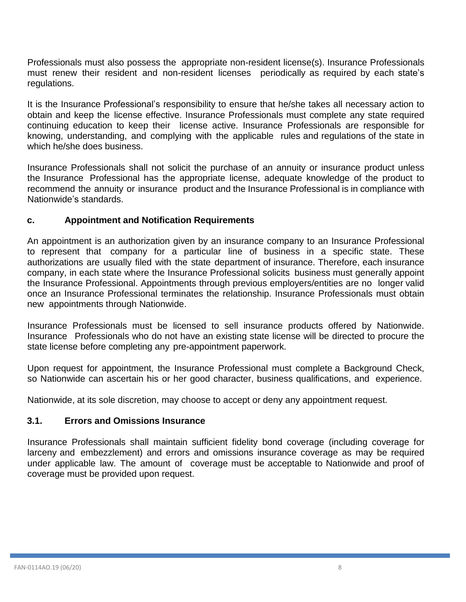Professionals must also possess the appropriate non-resident license(s). Insurance Professionals must renew their resident and non-resident licenses periodically as required by each state's regulations.

It is the Insurance Professional's responsibility to ensure that he/she takes all necessary action to obtain and keep the license effective. Insurance Professionals must complete any state required continuing education to keep their license active. Insurance Professionals are responsible for knowing, understanding, and complying with the applicable rules and regulations of the state in which he/she does business.

Insurance Professionals shall not solicit the purchase of an annuity or insurance product unless the Insurance Professional has the appropriate license, adequate knowledge of the product to recommend the annuity or insurance product and the Insurance Professional is in compliance with Nationwide's standards.

### <span id="page-7-0"></span>**c. Appointment and Notification Requirements**

An appointment is an authorization given by an insurance company to an Insurance Professional to represent that company for a particular line of business in a specific state. These authorizations are usually filed with the state department of insurance. Therefore, each insurance company, in each state where the Insurance Professional solicits business must generally appoint the Insurance Professional. Appointments through previous employers/entities are no longer valid once an Insurance Professional terminates the relationship. Insurance Professionals must obtain new appointments through Nationwide.

Insurance Professionals must be licensed to sell insurance products offered by Nationwide. Insurance Professionals who do not have an existing state license will be directed to procure the state license before completing any pre-appointment paperwork.

Upon request for appointment, the Insurance Professional must complete a Background Check, so Nationwide can ascertain his or her good character, business qualifications, and experience.

Nationwide, at its sole discretion, may choose to accept or deny any appointment request.

#### <span id="page-7-1"></span>**3.1. Errors and Omissions Insurance**

Insurance Professionals shall maintain sufficient fidelity bond coverage (including coverage for larceny and embezzlement) and errors and omissions insurance coverage as may be required under applicable law. The amount of coverage must be acceptable to Nationwide and proof of coverage must be provided upon request.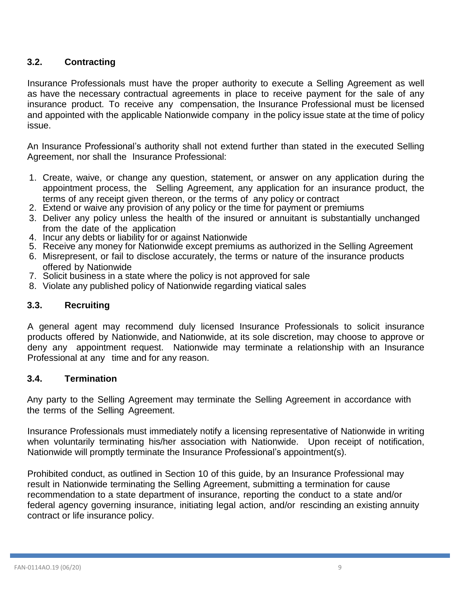# <span id="page-8-0"></span>**3.2. Contracting**

Insurance Professionals must have the proper authority to execute a Selling Agreement as well as have the necessary contractual agreements in place to receive payment for the sale of any insurance product. To receive any compensation, the Insurance Professional must be licensed and appointed with the applicable Nationwide company in the policy issue state at the time of policy issue.

An Insurance Professional's authority shall not extend further than stated in the executed Selling Agreement, nor shall the Insurance Professional:

- 1. Create, waive, or change any question, statement, or answer on any application during the appointment process, the Selling Agreement, any application for an insurance product, the terms of any receipt given thereon, or the terms of any policy or contract
- 2. Extend or waive any provision of any policy or the time for payment or premiums
- 3. Deliver any policy unless the health of the insured or annuitant is substantially unchanged from the date of the application
- 4. Incur any debts or liability for or against Nationwide
- 5. Receive any money for Nationwide except premiums as authorized in the Selling Agreement
- 6. Misrepresent, or fail to disclose accurately, the terms or nature of the insurance products offered by Nationwide
- 7. Solicit business in a state where the policy is not approved for sale
- 8. Violate any published policy of Nationwide regarding viatical sales

#### <span id="page-8-1"></span>**3.3. Recruiting**

A general agent may recommend duly licensed Insurance Professionals to solicit insurance products offered by Nationwide, and Nationwide, at its sole discretion, may choose to approve or deny any appointment request. Nationwide may terminate a relationship with an Insurance Professional at any time and for any reason.

#### <span id="page-8-2"></span>**3.4. Termination**

Any party to the Selling Agreement may terminate the Selling Agreement in accordance with the terms of the Selling Agreement.

Insurance Professionals must immediately notify a licensing representative of Nationwide in writing when voluntarily terminating his/her association with Nationwide. Upon receipt of notification, Nationwide will promptly terminate the Insurance Professional's appointment(s).

Prohibited conduct, as outlined in Section 10 of this guide, by an Insurance Professional may result in Nationwide terminating the Selling Agreement, submitting a termination for cause recommendation to a state department of insurance, reporting the conduct to a state and/or federal agency governing insurance, initiating legal action, and/or rescinding an existing annuity contract or life insurance policy.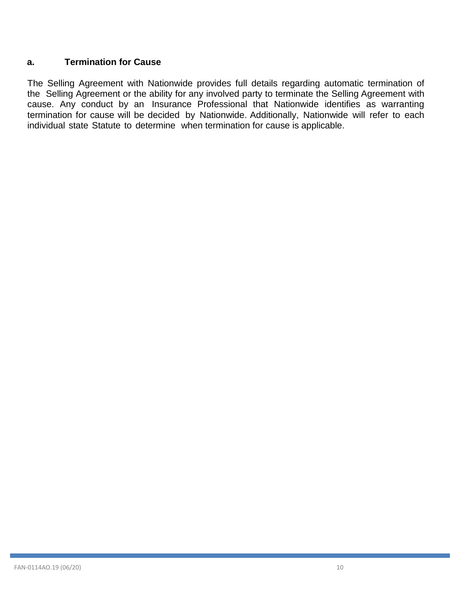# **a. Termination for Cause**

The Selling Agreement with Nationwide provides full details regarding automatic termination of the Selling Agreement or the ability for any involved party to terminate the Selling Agreement with cause. Any conduct by an Insurance Professional that Nationwide identifies as warranting termination for cause will be decided by Nationwide. Additionally, Nationwide will refer to each individual state Statute to determine when termination for cause is applicable.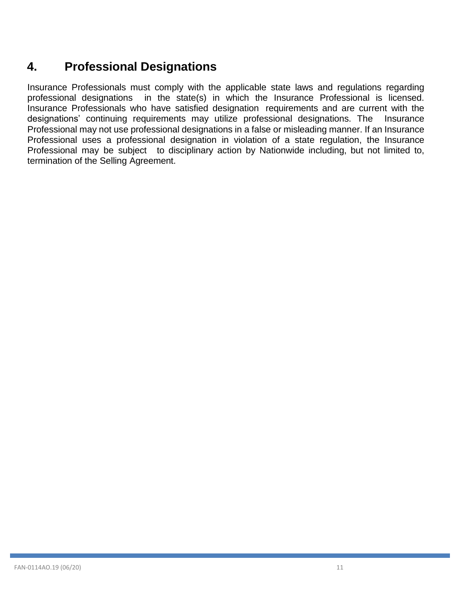# <span id="page-10-0"></span>**4. Professional Designations**

Insurance Professionals must comply with the applicable state laws and regulations regarding professional designations in the state(s) in which the Insurance Professional is licensed. Insurance Professionals who have satisfied designation requirements and are current with the designations' continuing requirements may utilize professional designations. The Insurance Professional may not use professional designations in a false or misleading manner. If an Insurance Professional uses a professional designation in violation of a state regulation, the Insurance Professional may be subject to disciplinary action by Nationwide including, but not limited to, termination of the Selling Agreement.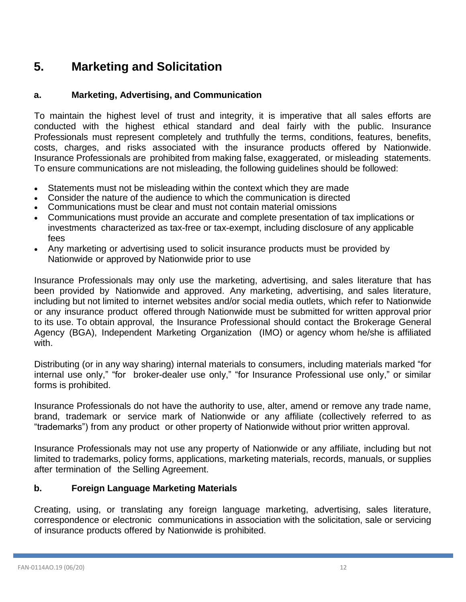# <span id="page-11-0"></span>**5. Marketing and Solicitation**

# <span id="page-11-1"></span>**a. Marketing, Advertising, and Communication**

To maintain the highest level of trust and integrity, it is imperative that all sales efforts are conducted with the highest ethical standard and deal fairly with the public. Insurance Professionals must represent completely and truthfully the terms, conditions, features, benefits, costs, charges, and risks associated with the insurance products offered by Nationwide. Insurance Professionals are prohibited from making false, exaggerated, or misleading statements. To ensure communications are not misleading, the following guidelines should be followed:

- Statements must not be misleading within the context which they are made
- Consider the nature of the audience to which the communication is directed
- Communications must be clear and must not contain material omissions
- Communications must provide an accurate and complete presentation of tax implications or investments characterized as tax-free or tax-exempt, including disclosure of any applicable fees
- Any marketing or advertising used to solicit insurance products must be provided by Nationwide or approved by Nationwide prior to use

Insurance Professionals may only use the marketing, advertising, and sales literature that has been provided by Nationwide and approved. Any marketing, advertising, and sales literature, including but not limited to internet websites and/or social media outlets, which refer to Nationwide or any insurance product offered through Nationwide must be submitted for written approval prior to its use. To obtain approval, the Insurance Professional should contact the Brokerage General Agency (BGA), Independent Marketing Organization (IMO) or agency whom he/she is affiliated with.

Distributing (or in any way sharing) internal materials to consumers, including materials marked "for internal use only," "for broker-dealer use only," "for Insurance Professional use only," or similar forms is prohibited.

Insurance Professionals do not have the authority to use, alter, amend or remove any trade name, brand, trademark or service mark of Nationwide or any affiliate (collectively referred to as "trademarks") from any product or other property of Nationwide without prior written approval.

Insurance Professionals may not use any property of Nationwide or any affiliate, including but not limited to trademarks, policy forms, applications, marketing materials, records, manuals, or supplies after termination of the Selling Agreement.

# <span id="page-11-2"></span>**b. Foreign Language Marketing Materials**

Creating, using, or translating any foreign language marketing, advertising, sales literature, correspondence or electronic communications in association with the solicitation, sale or servicing of insurance products offered by Nationwide is prohibited.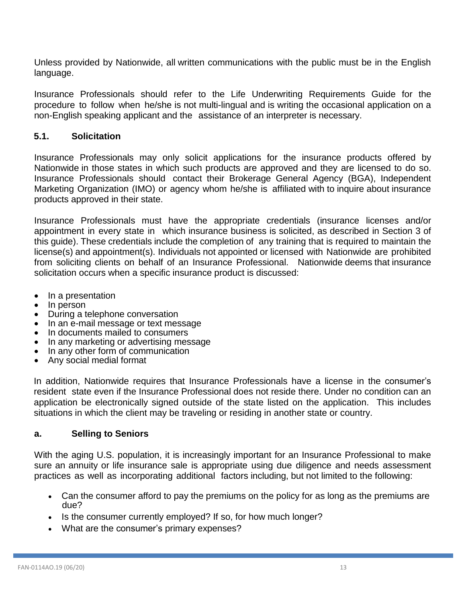Unless provided by Nationwide, all written communications with the public must be in the English language.

Insurance Professionals should refer to the Life Underwriting Requirements Guide for the procedure to follow when he/she is not multi-lingual and is writing the occasional application on a non-English speaking applicant and the assistance of an interpreter is necessary.

### <span id="page-12-0"></span>**5.1. Solicitation**

Insurance Professionals may only solicit applications for the insurance products offered by Nationwide in those states in which such products are approved and they are licensed to do so. Insurance Professionals should contact their Brokerage General Agency (BGA), Independent Marketing Organization (IMO) or agency whom he/she is affiliated with to inquire about insurance products approved in their state.

Insurance Professionals must have the appropriate credentials (insurance licenses and/or appointment in every state in which insurance business is solicited, as described in Section 3 of this guide). These credentials include the completion of any training that is required to maintain the license(s) and appointment(s). Individuals not appointed or licensed with Nationwide are prohibited from soliciting clients on behalf of an Insurance Professional. Nationwide deems that insurance solicitation occurs when a specific insurance product is discussed:

- In a presentation
- In person
- During a telephone conversation
- In an e-mail message or text message
- In documents mailed to consumers
- In any marketing or advertising message
- In any other form of communication
- Any social medial format

In addition, Nationwide requires that Insurance Professionals have a license in the consumer's resident state even if the Insurance Professional does not reside there. Under no condition can an application be electronically signed outside of the state listed on the application. This includes situations in which the client may be traveling or residing in another state or country.

### <span id="page-12-1"></span>**a. Selling to Seniors**

With the aging U.S. population, it is increasingly important for an Insurance Professional to make sure an annuity or life insurance sale is appropriate using due diligence and needs assessment practices as well as incorporating additional factors including, but not limited to the following:

- Can the consumer afford to pay the premiums on the policy for as long as the premiums are due?
- Is the consumer currently employed? If so, for how much longer?
- What are the consumer's primary expenses?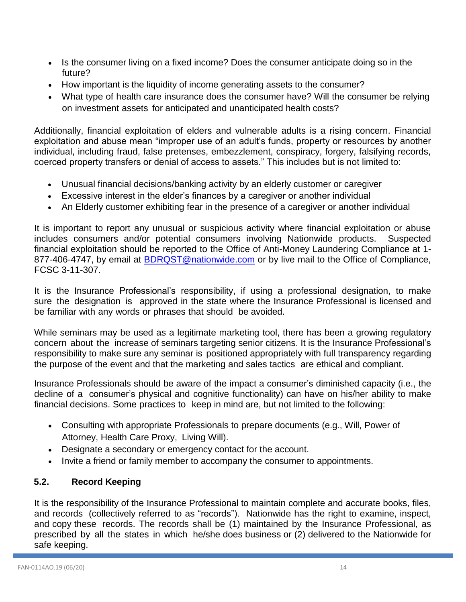- Is the consumer living on a fixed income? Does the consumer anticipate doing so in the future?
- How important is the liquidity of income generating assets to the consumer?
- What type of health care insurance does the consumer have? Will the consumer be relying on investment assets for anticipated and unanticipated health costs?

Additionally, financial exploitation of elders and vulnerable adults is a rising concern. Financial exploitation and abuse mean "improper use of an adult's funds, property or resources by another individual, including fraud, false pretenses, embezzlement, conspiracy, forgery, falsifying records, coerced property transfers or denial of access to assets." This includes but is not limited to:

- Unusual financial decisions/banking activity by an elderly customer or caregiver
- Excessive interest in the elder's finances by a caregiver or another individual
- An Elderly customer exhibiting fear in the presence of a caregiver or another individual

It is important to report any unusual or suspicious activity where financial exploitation or abuse includes consumers and/or potential consumers involving Nationwide products. Suspected financial exploitation should be reported to the Office of Anti-Money Laundering Compliance at 1- 877-406-4747, by email at [BDRQST@nationwide.com](mailto:BDRQST@nationwide.com) or by live mail to the Office of Compliance, FCSC 3-11-307.

It is the Insurance Professional's responsibility, if using a professional designation, to make sure the designation is approved in the state where the Insurance Professional is licensed and be familiar with any words or phrases that should be avoided.

While seminars may be used as a legitimate marketing tool, there has been a growing regulatory concern about the increase of seminars targeting senior citizens. It is the Insurance Professional's responsibility to make sure any seminar is positioned appropriately with full transparency regarding the purpose of the event and that the marketing and sales tactics are ethical and compliant.

Insurance Professionals should be aware of the impact a consumer's diminished capacity (i.e., the decline of a consumer's physical and cognitive functionality) can have on his/her ability to make financial decisions. Some practices to keep in mind are, but not limited to the following:

- Consulting with appropriate Professionals to prepare documents (e.g., Will, Power of Attorney, Health Care Proxy, Living Will).
- Designate a secondary or emergency contact for the account.
- Invite a friend or family member to accompany the consumer to appointments.

# <span id="page-13-0"></span>**5.2. Record Keeping**

It is the responsibility of the Insurance Professional to maintain complete and accurate books, files, and records (collectively referred to as "records"). Nationwide has the right to examine, inspect, and copy these records. The records shall be (1) maintained by the Insurance Professional, as prescribed by all the states in which he/she does business or (2) delivered to the Nationwide for safe keeping.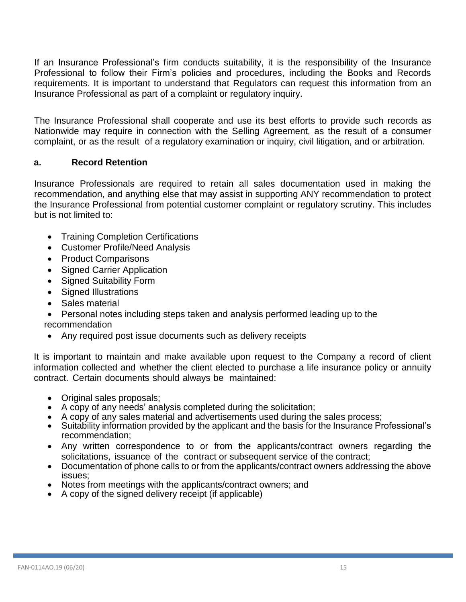If an Insurance Professional's firm conducts suitability, it is the responsibility of the Insurance Professional to follow their Firm's policies and procedures, including the Books and Records requirements. It is important to understand that Regulators can request this information from an Insurance Professional as part of a complaint or regulatory inquiry.

The Insurance Professional shall cooperate and use its best efforts to provide such records as Nationwide may require in connection with the Selling Agreement, as the result of a consumer complaint, or as the result of a regulatory examination or inquiry, civil litigation, and or arbitration.

### <span id="page-14-0"></span>**a. Record Retention**

Insurance Professionals are required to retain all sales documentation used in making the recommendation, and anything else that may assist in supporting ANY recommendation to protect the Insurance Professional from potential customer complaint or regulatory scrutiny. This includes but is not limited to:

- Training Completion Certifications
- Customer Profile/Need Analysis
- Product Comparisons
- Signed Carrier Application
- Signed Suitability Form
- Signed Illustrations
- Sales material
- Personal notes including steps taken and analysis performed leading up to the recommendation
- Any required post issue documents such as delivery receipts

It is important to maintain and make available upon request to the Company a record of client information collected and whether the client elected to purchase a life insurance policy or annuity contract. Certain documents should always be maintained:

- Original sales proposals;
- A copy of any needs' analysis completed during the solicitation;
- A copy of any sales material and advertisements used during the sales process;
- Suitability information provided by the applicant and the basis for the Insurance Professional's recommendation:
- Any written correspondence to or from the applicants/contract owners regarding the solicitations, issuance of the contract or subsequent service of the contract;
- Documentation of phone calls to or from the applicants/contract owners addressing the above issues;
- Notes from meetings with the applicants/contract owners; and
- A copy of the signed delivery receipt (if applicable)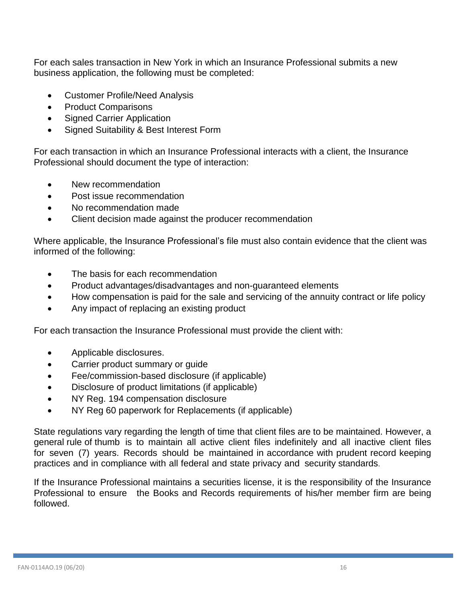For each sales transaction in New York in which an Insurance Professional submits a new business application, the following must be completed:

- Customer Profile/Need Analysis
- Product Comparisons
- Signed Carrier Application
- Signed Suitability & Best Interest Form

For each transaction in which an Insurance Professional interacts with a client, the Insurance Professional should document the type of interaction:

- New recommendation
- Post issue recommendation
- No recommendation made
- Client decision made against the producer recommendation

Where applicable, the Insurance Professional's file must also contain evidence that the client was informed of the following:

- The basis for each recommendation
- Product advantages/disadvantages and non-guaranteed elements
- How compensation is paid for the sale and servicing of the annuity contract or life policy
- Any impact of replacing an existing product

For each transaction the Insurance Professional must provide the client with:

- Applicable disclosures.
- Carrier product summary or guide
- Fee/commission-based disclosure (if applicable)
- Disclosure of product limitations (if applicable)
- NY Reg. 194 compensation disclosure
- NY Reg 60 paperwork for Replacements (if applicable)

State regulations vary regarding the length of time that client files are to be maintained. However, a general rule of thumb is to maintain all active client files indefinitely and all inactive client files for seven (7) years. Records should be maintained in accordance with prudent record keeping practices and in compliance with all federal and state privacy and security standards.

If the Insurance Professional maintains a securities license, it is the responsibility of the Insurance Professional to ensure the Books and Records requirements of his/her member firm are being followed.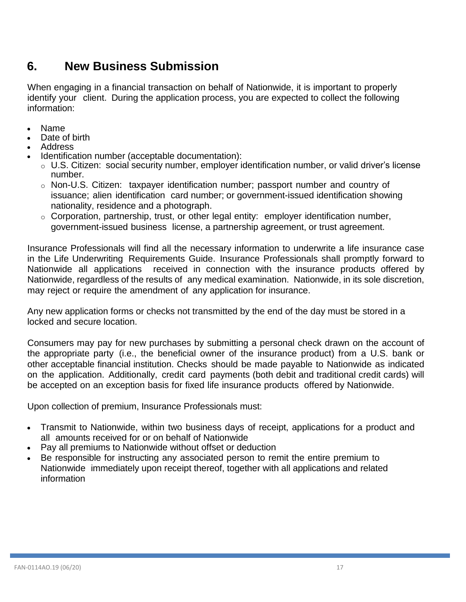# <span id="page-16-0"></span>**6. New Business Submission**

When engaging in a financial transaction on behalf of Nationwide, it is important to properly identify your client. During the application process, you are expected to collect the following information:

- Name
- Date of birth
- Address
- Identification number (acceptable documentation):
	- o U.S. Citizen: social security number, employer identification number, or valid driver's license number.
	- $\circ$  Non-U.S. Citizen: taxpayer identification number; passport number and country of issuance; alien identification card number; or government-issued identification showing nationality, residence and a photograph.
	- $\circ$  Corporation, partnership, trust, or other legal entity: employer identification number, government-issued business license, a partnership agreement, or trust agreement.

Insurance Professionals will find all the necessary information to underwrite a life insurance case in the Life Underwriting Requirements Guide. Insurance Professionals shall promptly forward to Nationwide all applications received in connection with the insurance products offered by Nationwide, regardless of the results of any medical examination. Nationwide, in its sole discretion, may reject or require the amendment of any application for insurance.

Any new application forms or checks not transmitted by the end of the day must be stored in a locked and secure location.

Consumers may pay for new purchases by submitting a personal check drawn on the account of the appropriate party (i.e., the beneficial owner of the insurance product) from a U.S. bank or other acceptable financial institution. Checks should be made payable to Nationwide as indicated on the application. Additionally, credit card payments (both debit and traditional credit cards) will be accepted on an exception basis for fixed life insurance products offered by Nationwide.

Upon collection of premium, Insurance Professionals must:

- Transmit to Nationwide, within two business days of receipt, applications for a product and all amounts received for or on behalf of Nationwide
- Pay all premiums to Nationwide without offset or deduction
- Be responsible for instructing any associated person to remit the entire premium to Nationwide immediately upon receipt thereof, together with all applications and related information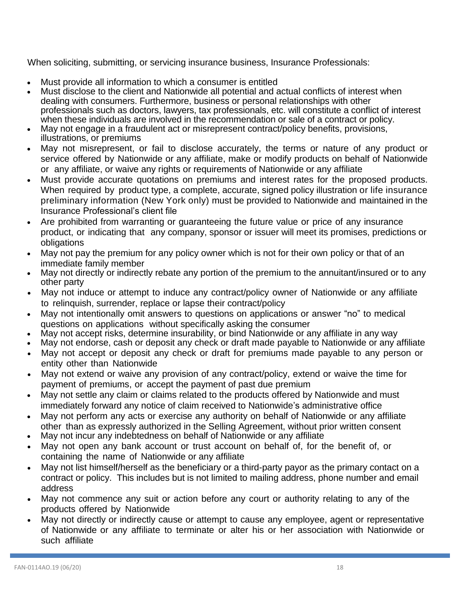When soliciting, submitting, or servicing insurance business, Insurance Professionals:

- Must provide all information to which a consumer is entitled
- Must disclose to the client and Nationwide all potential and actual conflicts of interest when dealing with consumers. Furthermore, business or personal relationships with other professionals such as doctors, lawyers, tax professionals, etc. will constitute a conflict of interest when these individuals are involved in the recommendation or sale of a contract or policy.
- May not engage in a fraudulent act or misrepresent contract/policy benefits, provisions, illustrations, or premiums
- May not misrepresent, or fail to disclose accurately, the terms or nature of any product or service offered by Nationwide or any affiliate, make or modify products on behalf of Nationwide or any affiliate, or waive any rights or requirements of Nationwide or any affiliate
- Must provide accurate quotations on premiums and interest rates for the proposed products. When required by product type, a complete, accurate, signed policy illustration or life insurance preliminary information (New York only) must be provided to Nationwide and maintained in the Insurance Professional's client file
- Are prohibited from warranting or guaranteeing the future value or price of any insurance product, or indicating that any company, sponsor or issuer will meet its promises, predictions or obligations
- May not pay the premium for any policy owner which is not for their own policy or that of an immediate family member
- May not directly or indirectly rebate any portion of the premium to the annuitant/insured or to any other party
- May not induce or attempt to induce any contract/policy owner of Nationwide or any affiliate to relinquish, surrender, replace or lapse their contract/policy
- May not intentionally omit answers to questions on applications or answer "no" to medical questions on applications without specifically asking the consumer
- May not accept risks, determine insurability, or bind Nationwide or any affiliate in any way
- May not endorse, cash or deposit any check or draft made payable to Nationwide or any affiliate
- May not accept or deposit any check or draft for premiums made payable to any person or entity other than Nationwide
- May not extend or waive any provision of any contract/policy, extend or waive the time for payment of premiums, or accept the payment of past due premium
- May not settle any claim or claims related to the products offered by Nationwide and must immediately forward any notice of claim received to Nationwide's administrative office
- May not perform any acts or exercise any authority on behalf of Nationwide or any affiliate other than as expressly authorized in the Selling Agreement, without prior written consent
- May not incur any indebtedness on behalf of Nationwide or any affiliate
- May not open any bank account or trust account on behalf of, for the benefit of, or containing the name of Nationwide or any affiliate
- May not list himself/herself as the beneficiary or a third-party payor as the primary contact on a contract or policy. This includes but is not limited to mailing address, phone number and email address
- May not commence any suit or action before any court or authority relating to any of the products offered by Nationwide
- May not directly or indirectly cause or attempt to cause any employee, agent or representative of Nationwide or any affiliate to terminate or alter his or her association with Nationwide or such affiliate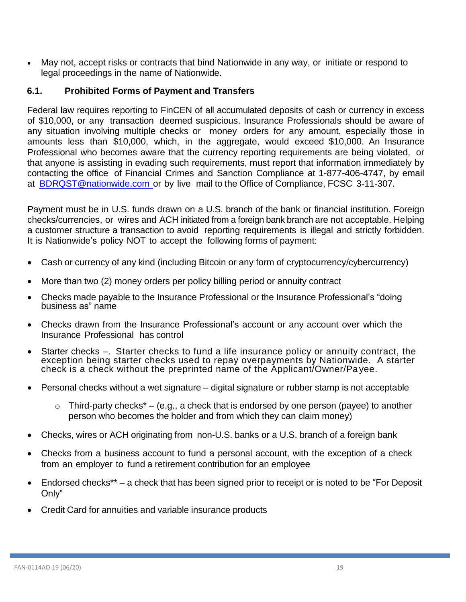• May not, accept risks or contracts that bind Nationwide in any way, or initiate or respond to legal proceedings in the name of Nationwide.

#### <span id="page-18-0"></span>**6.1. Prohibited Forms of Payment and Transfers**

Federal law requires reporting to FinCEN of all accumulated deposits of cash or currency in excess of \$10,000, or any transaction deemed suspicious. Insurance Professionals should be aware of any situation involving multiple checks or money orders for any amount, especially those in amounts less than \$10,000, which, in the aggregate, would exceed \$10,000. An Insurance Professional who becomes aware that the currency reporting requirements are being violated, or that anyone is assisting in evading such requirements, must report that information immediately by contacting the office of Financial Crimes and Sanction Compliance at 1-877-406-4747, by email at [BDRQST@nationwide.com](mailto:BDRQST@nationwide.com) or by live mail to the Office of Compliance, FCSC 3-11-307.

Payment must be in U.S. funds drawn on a U.S. branch of the bank or financial institution. Foreign checks/currencies, or wires and ACH initiated from a foreign bank branch are not acceptable. Helping a customer structure a transaction to avoid reporting requirements is illegal and strictly forbidden. It is Nationwide's policy NOT to accept the following forms of payment:

- Cash or currency of any kind (including Bitcoin or any form of cryptocurrency/cybercurrency)
- More than two (2) money orders per policy billing period or annuity contract
- Checks made payable to the Insurance Professional or the Insurance Professional's "doing business as" name
- Checks drawn from the Insurance Professional's account or any account over which the Insurance Professional has control
- Starter checks –. Starter checks to fund a life insurance policy or annuity contract, the exception being starter checks used to repay overpayments by Nationwide. A starter check is a check without the preprinted name of the Applicant/Owner/Payee.
- Personal checks without a wet signature digital signature or rubber stamp is not acceptable
	- $\circ$  Third-party checks<sup>\*</sup> (e.g., a check that is endorsed by one person (payee) to another person who becomes the holder and from which they can claim money)
- Checks, wires or ACH originating from non-U.S. banks or a U.S. branch of a foreign bank
- Checks from a business account to fund a personal account, with the exception of a check from an employer to fund a retirement contribution for an employee
- Endorsed checks\*\* a check that has been signed prior to receipt or is noted to be "For Deposit Only"
- Credit Card for annuities and variable insurance products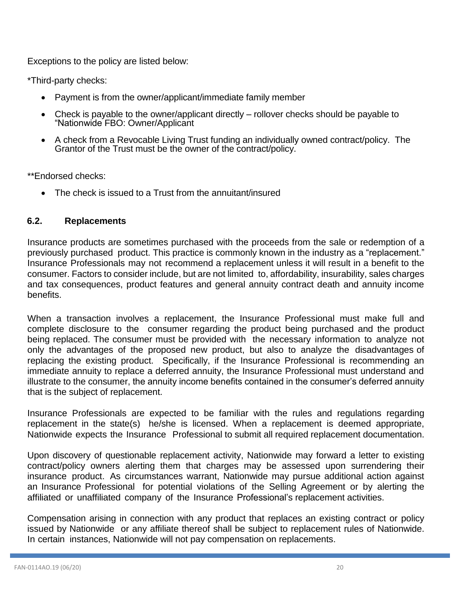Exceptions to the policy are listed below:

\*Third-party checks:

- Payment is from the owner/applicant/immediate family member
- Check is payable to the owner/applicant directly rollover checks should be payable to "Nationwide FBO: Owner/Applicant
- A check from a Revocable Living Trust funding an individually owned contract/policy. The Grantor of the Trust must be the owner of the contract/policy.

\*\*Endorsed checks:

• The check is issued to a Trust from the annuitant/insured

## <span id="page-19-0"></span>**6.2. Replacements**

Insurance products are sometimes purchased with the proceeds from the sale or redemption of a previously purchased product. This practice is commonly known in the industry as a "replacement." Insurance Professionals may not recommend a replacement unless it will result in a benefit to the consumer. Factors to consider include, but are not limited to, affordability, insurability, sales charges and tax consequences, product features and general annuity contract death and annuity income benefits.

When a transaction involves a replacement, the Insurance Professional must make full and complete disclosure to the consumer regarding the product being purchased and the product being replaced. The consumer must be provided with the necessary information to analyze not only the advantages of the proposed new product, but also to analyze the disadvantages of replacing the existing product. Specifically, if the Insurance Professional is recommending an immediate annuity to replace a deferred annuity, the Insurance Professional must understand and illustrate to the consumer, the annuity income benefits contained in the consumer's deferred annuity that is the subject of replacement.

Insurance Professionals are expected to be familiar with the rules and regulations regarding replacement in the state(s) he/she is licensed. When a replacement is deemed appropriate, Nationwide expects the Insurance Professional to submit all required replacement documentation.

Upon discovery of questionable replacement activity, Nationwide may forward a letter to existing contract/policy owners alerting them that charges may be assessed upon surrendering their insurance product. As circumstances warrant, Nationwide may pursue additional action against an Insurance Professional for potential violations of the Selling Agreement or by alerting the affiliated or unaffiliated company of the Insurance Professional's replacement activities.

Compensation arising in connection with any product that replaces an existing contract or policy issued by Nationwide or any affiliate thereof shall be subject to replacement rules of Nationwide. In certain instances, Nationwide will not pay compensation on replacements.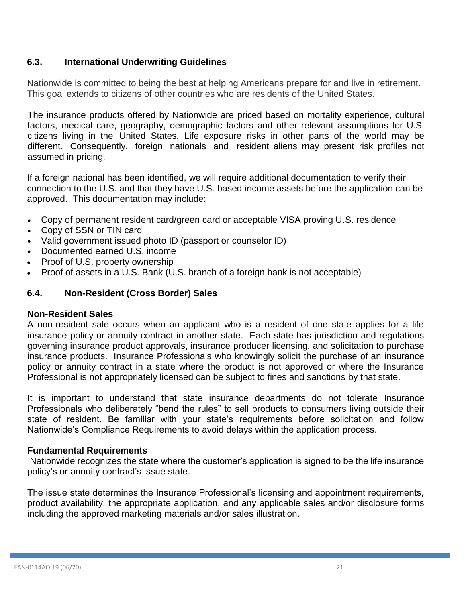# <span id="page-20-0"></span>**6.3. International Underwriting Guidelines**

Nationwide is committed to being the best at helping Americans prepare for and live in retirement. This goal extends to citizens of other countries who are residents of the United States.

The insurance products offered by Nationwide are priced based on mortality experience, cultural factors, medical care, geography, demographic factors and other relevant assumptions for U.S. citizens living in the United States. Life exposure risks in other parts of the world may be different. Consequently, foreign nationals and resident aliens may present risk profiles not assumed in pricing.

If a foreign national has been identified, we will require additional documentation to verify their connection to the U.S. and that they have U.S. based income assets before the application can be approved. This documentation may include:

- Copy of permanent resident card/green card or acceptable VISA proving U.S. residence
- Copy of SSN or TIN card
- Valid government issued photo ID (passport or counselor ID)
- Documented earned U.S. income
- Proof of U.S. property ownership
- Proof of assets in a U.S. Bank (U.S. branch of a foreign bank is not acceptable)

### **6.4. Non-Resident (Cross Border) Sales**

#### **Non-Resident Sales**

A non-resident sale occurs when an applicant who is a resident of one state applies for a life insurance policy or annuity contract in another state. Each state has jurisdiction and regulations governing insurance product approvals, insurance producer licensing, and solicitation to purchase insurance products. Insurance Professionals who knowingly solicit the purchase of an insurance policy or annuity contract in a state where the product is not approved or where the Insurance Professional is not appropriately licensed can be subject to fines and sanctions by that state.

It is important to understand that state insurance departments do not tolerate Insurance Professionals who deliberately "bend the rules" to sell products to consumers living outside their state of resident. Be familiar with your state's requirements before solicitation and follow Nationwide's Compliance Requirements to avoid delays within the application process.

#### **Fundamental Requirements**

Nationwide recognizes the state where the customer's application is signed to be the life insurance policy's or annuity contract's issue state.

The issue state determines the Insurance Professional's licensing and appointment requirements, product availability, the appropriate application, and any applicable sales and/or disclosure forms including the approved marketing materials and/or sales illustration.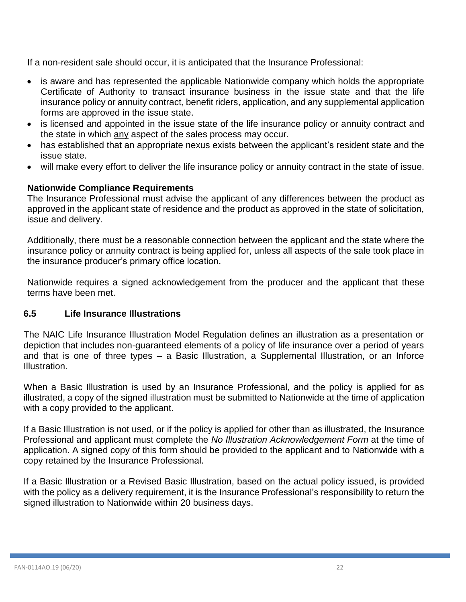If a non-resident sale should occur, it is anticipated that the Insurance Professional:

- is aware and has represented the applicable Nationwide company which holds the appropriate Certificate of Authority to transact insurance business in the issue state and that the life insurance policy or annuity contract, benefit riders, application, and any supplemental application forms are approved in the issue state.
- is licensed and appointed in the issue state of the life insurance policy or annuity contract and the state in which any aspect of the sales process may occur.
- has established that an appropriate nexus exists between the applicant's resident state and the issue state.
- will make every effort to deliver the life insurance policy or annuity contract in the state of issue.

# **Nationwide Compliance Requirements**

The Insurance Professional must advise the applicant of any differences between the product as approved in the applicant state of residence and the product as approved in the state of solicitation, issue and delivery.

Additionally, there must be a reasonable connection between the applicant and the state where the insurance policy or annuity contract is being applied for, unless all aspects of the sale took place in the insurance producer's primary office location.

Nationwide requires a signed acknowledgement from the producer and the applicant that these terms have been met.

### <span id="page-21-0"></span>**6.5 Life Insurance Illustrations**

The NAIC Life Insurance Illustration Model Regulation defines an illustration as a presentation or depiction that includes non-guaranteed elements of a policy of life insurance over a period of years and that is one of three types – a Basic Illustration, a Supplemental Illustration, or an Inforce Illustration.

When a Basic Illustration is used by an Insurance Professional, and the policy is applied for as illustrated, a copy of the signed illustration must be submitted to Nationwide at the time of application with a copy provided to the applicant.

If a Basic Illustration is not used, or if the policy is applied for other than as illustrated, the Insurance Professional and applicant must complete the *No Illustration Acknowledgement Form* at the time of application. A signed copy of this form should be provided to the applicant and to Nationwide with a copy retained by the Insurance Professional.

If a Basic Illustration or a Revised Basic Illustration, based on the actual policy issued, is provided with the policy as a delivery requirement, it is the Insurance Professional's responsibility to return the signed illustration to Nationwide within 20 business days.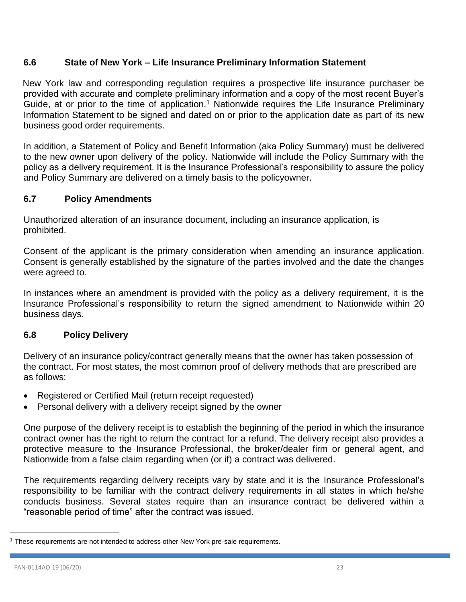# <span id="page-22-0"></span>**6.6 State of New York – Life Insurance Preliminary Information Statement**

New York law and corresponding regulation requires a prospective life insurance purchaser be provided with accurate and complete preliminary information and a copy of the most recent Buyer's Guide, at or prior to the time of application.<sup>1</sup> Nationwide requires the Life Insurance Preliminary Information Statement to be signed and dated on or prior to the application date as part of its new business good order requirements.

In addition, a Statement of Policy and Benefit Information (aka Policy Summary) must be delivered to the new owner upon delivery of the policy. Nationwide will include the Policy Summary with the policy as a delivery requirement. It is the Insurance Professional's responsibility to assure the policy and Policy Summary are delivered on a timely basis to the policyowner.

### <span id="page-22-1"></span>**6.7 Policy Amendments**

Unauthorized alteration of an insurance document, including an insurance application, is prohibited.

Consent of the applicant is the primary consideration when amending an insurance application. Consent is generally established by the signature of the parties involved and the date the changes were agreed to.

In instances where an amendment is provided with the policy as a delivery requirement, it is the Insurance Professional's responsibility to return the signed amendment to Nationwide within 20 business days.

## <span id="page-22-2"></span>**6.8 Policy Delivery**

Delivery of an insurance policy/contract generally means that the owner has taken possession of the contract. For most states, the most common proof of delivery methods that are prescribed are as follows:

- Registered or Certified Mail (return receipt requested)
- Personal delivery with a delivery receipt signed by the owner

One purpose of the delivery receipt is to establish the beginning of the period in which the insurance contract owner has the right to return the contract for a refund. The delivery receipt also provides a protective measure to the Insurance Professional, the broker/dealer firm or general agent, and Nationwide from a false claim regarding when (or if) a contract was delivered.

The requirements regarding delivery receipts vary by state and it is the Insurance Professional's responsibility to be familiar with the contract delivery requirements in all states in which he/she conducts business. Several states require than an insurance contract be delivered within a "reasonable period of time" after the contract was issued.

 $\overline{a}$ 

<sup>&</sup>lt;sup>1</sup> These requirements are not intended to address other New York pre-sale requirements.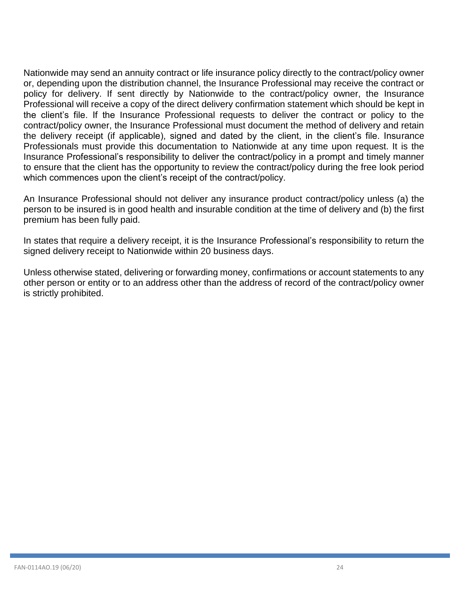Nationwide may send an annuity contract or life insurance policy directly to the contract/policy owner or, depending upon the distribution channel, the Insurance Professional may receive the contract or policy for delivery. If sent directly by Nationwide to the contract/policy owner, the Insurance Professional will receive a copy of the direct delivery confirmation statement which should be kept in the client's file. If the Insurance Professional requests to deliver the contract or policy to the contract/policy owner, the Insurance Professional must document the method of delivery and retain the delivery receipt (if applicable), signed and dated by the client, in the client's file. Insurance Professionals must provide this documentation to Nationwide at any time upon request. It is the Insurance Professional's responsibility to deliver the contract/policy in a prompt and timely manner to ensure that the client has the opportunity to review the contract/policy during the free look period which commences upon the client's receipt of the contract/policy.

An Insurance Professional should not deliver any insurance product contract/policy unless (a) the person to be insured is in good health and insurable condition at the time of delivery and (b) the first premium has been fully paid.

In states that require a delivery receipt, it is the Insurance Professional's responsibility to return the signed delivery receipt to Nationwide within 20 business days.

Unless otherwise stated, delivering or forwarding money, confirmations or account statements to any other person or entity or to an address other than the address of record of the contract/policy owner is strictly prohibited.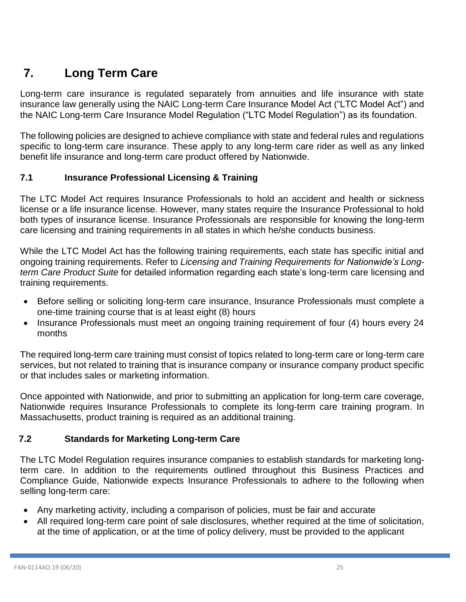# <span id="page-24-0"></span>**7. Long Term Care**

Long-term care insurance is regulated separately from annuities and life insurance with state insurance law generally using the NAIC Long-term Care Insurance Model Act ("LTC Model Act") and the NAIC Long-term Care Insurance Model Regulation ("LTC Model Regulation") as its foundation.

The following policies are designed to achieve compliance with state and federal rules and regulations specific to long-term care insurance. These apply to any long-term care rider as well as any linked benefit life insurance and long-term care product offered by Nationwide.

# <span id="page-24-1"></span>**7.1 Insurance Professional Licensing & Training**

The LTC Model Act requires Insurance Professionals to hold an accident and health or sickness license or a life insurance license. However, many states require the Insurance Professional to hold both types of insurance license. Insurance Professionals are responsible for knowing the long-term care licensing and training requirements in all states in which he/she conducts business.

While the LTC Model Act has the following training requirements, each state has specific initial and ongoing training requirements. Refer to *Licensing and Training Requirements for Nationwide's Longterm Care Product Suite* for detailed information regarding each state's long-term care licensing and training requirements.

- Before selling or soliciting long-term care insurance, Insurance Professionals must complete a one-time training course that is at least eight (8) hours
- Insurance Professionals must meet an ongoing training requirement of four (4) hours every 24 months

The required long-term care training must consist of topics related to long-term care or long-term care services, but not related to training that is insurance company or insurance company product specific or that includes sales or marketing information.

Once appointed with Nationwide, and prior to submitting an application for long-term care coverage, Nationwide requires Insurance Professionals to complete its long-term care training program. In Massachusetts, product training is required as an additional training.

# <span id="page-24-2"></span> **7.2 Standards for Marketing Long-term Care**

The LTC Model Regulation requires insurance companies to establish standards for marketing longterm care. In addition to the requirements outlined throughout this Business Practices and Compliance Guide, Nationwide expects Insurance Professionals to adhere to the following when selling long-term care:

- Any marketing activity, including a comparison of policies, must be fair and accurate
- All required long-term care point of sale disclosures, whether required at the time of solicitation, at the time of application, or at the time of policy delivery, must be provided to the applicant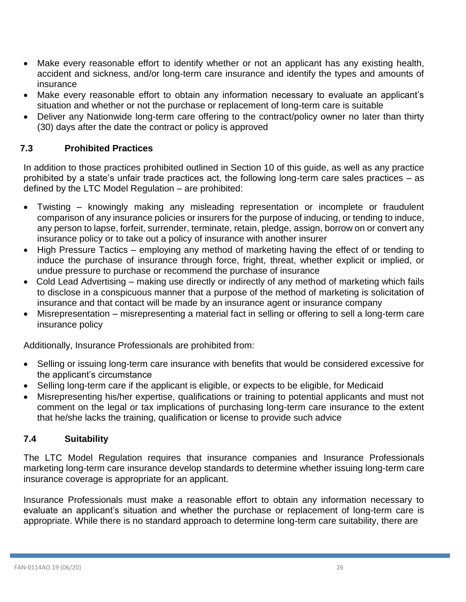- Make every reasonable effort to identify whether or not an applicant has any existing health, accident and sickness, and/or long-term care insurance and identify the types and amounts of insurance
- Make every reasonable effort to obtain any information necessary to evaluate an applicant's situation and whether or not the purchase or replacement of long-term care is suitable
- Deliver any Nationwide long-term care offering to the contract/policy owner no later than thirty (30) days after the date the contract or policy is approved

### <span id="page-25-0"></span>**7.3 Prohibited Practices**

In addition to those practices prohibited outlined in Section 10 of this guide, as well as any practice prohibited by a state's unfair trade practices act, the following long-term care sales practices – as defined by the LTC Model Regulation – are prohibited:

- Twisting knowingly making any misleading representation or incomplete or fraudulent comparison of any insurance policies or insurers for the purpose of inducing, or tending to induce, any person to lapse, forfeit, surrender, terminate, retain, pledge, assign, borrow on or convert any insurance policy or to take out a policy of insurance with another insurer
- High Pressure Tactics employing any method of marketing having the effect of or tending to induce the purchase of insurance through force, fright, threat, whether explicit or implied, or undue pressure to purchase or recommend the purchase of insurance
- Cold Lead Advertising making use directly or indirectly of any method of marketing which fails to disclose in a conspicuous manner that a purpose of the method of marketing is solicitation of insurance and that contact will be made by an insurance agent or insurance company
- Misrepresentation misrepresenting a material fact in selling or offering to sell a long-term care insurance policy

Additionally, Insurance Professionals are prohibited from:

- Selling or issuing long-term care insurance with benefits that would be considered excessive for the applicant's circumstance
- Selling long-term care if the applicant is eligible, or expects to be eligible, for Medicaid
- Misrepresenting his/her expertise, qualifications or training to potential applicants and must not comment on the legal or tax implications of purchasing long-term care insurance to the extent that he/she lacks the training, qualification or license to provide such advice

# <span id="page-25-1"></span>**7.4 Suitability**

The LTC Model Regulation requires that insurance companies and Insurance Professionals marketing long-term care insurance develop standards to determine whether issuing long-term care insurance coverage is appropriate for an applicant.

Insurance Professionals must make a reasonable effort to obtain any information necessary to evaluate an applicant's situation and whether the purchase or replacement of long-term care is appropriate. While there is no standard approach to determine long-term care suitability, there are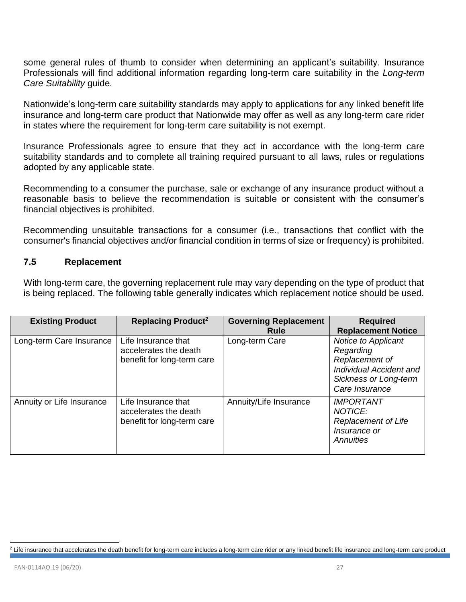some general rules of thumb to consider when determining an applicant's suitability. Insurance Professionals will find additional information regarding long-term care suitability in the *Long-term Care Suitability* guide*.*

Nationwide's long-term care suitability standards may apply to applications for any linked benefit life insurance and long-term care product that Nationwide may offer as well as any long-term care rider in states where the requirement for long-term care suitability is not exempt.

Insurance Professionals agree to ensure that they act in accordance with the long-term care suitability standards and to complete all training required pursuant to all laws, rules or regulations adopted by any applicable state.

Recommending to a consumer the purchase, sale or exchange of any insurance product without a reasonable basis to believe the recommendation is suitable or consistent with the consumer's financial objectives is prohibited.

Recommending unsuitable transactions for a consumer (i.e., transactions that conflict with the consumer's financial objectives and/or financial condition in terms of size or frequency) is prohibited.

#### <span id="page-26-0"></span>**7.5 Replacement**

With long-term care, the governing replacement rule may vary depending on the type of product that is being replaced. The following table generally indicates which replacement notice should be used.

| <b>Existing Product</b>   | Replacing Product <sup>2</sup>                                             | <b>Governing Replacement</b><br>Rule | <b>Required</b><br><b>Replacement Notice</b>                                                                             |
|---------------------------|----------------------------------------------------------------------------|--------------------------------------|--------------------------------------------------------------------------------------------------------------------------|
| Long-term Care Insurance  | Life Insurance that<br>accelerates the death<br>benefit for long-term care | Long-term Care                       | Notice to Applicant<br>Regarding<br>Replacement of<br>Individual Accident and<br>Sickness or Long-term<br>Care Insurance |
| Annuity or Life Insurance | Life Insurance that<br>accelerates the death<br>benefit for long-term care | Annuity/Life Insurance               | <b>IMPORTANT</b><br><b>NOTICE:</b><br><b>Replacement of Life</b><br>Insurance or<br><b>Annuities</b>                     |

 $\overline{a}$ <sup>2</sup> Life insurance that accelerates the death benefit for long-term care includes a long-term care rider or any linked benefit life insurance and long-term care product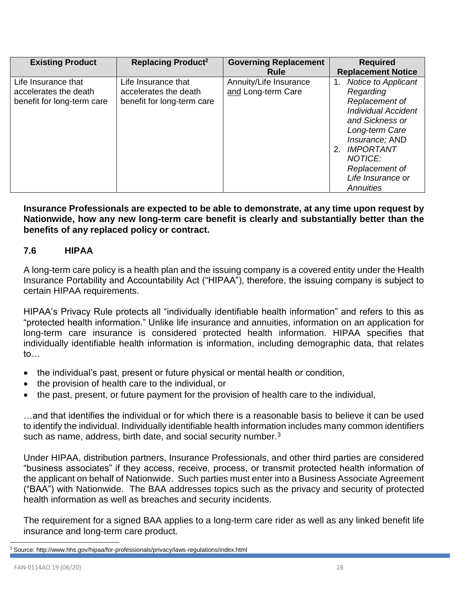| <b>Existing Product</b>                                                    | <b>Replacing Product<sup>2</sup></b>                                       | <b>Governing Replacement</b><br><b>Rule</b>  | <b>Required</b><br><b>Replacement Notice</b>                                                                                                                                                                                                       |
|----------------------------------------------------------------------------|----------------------------------------------------------------------------|----------------------------------------------|----------------------------------------------------------------------------------------------------------------------------------------------------------------------------------------------------------------------------------------------------|
| Life Insurance that<br>accelerates the death<br>benefit for long-term care | Life Insurance that<br>accelerates the death<br>benefit for long-term care | Annuity/Life Insurance<br>and Long-term Care | Notice to Applicant<br>$\mathbf{1}$ .<br>Regarding<br>Replacement of<br><b>Individual Accident</b><br>and Sickness or<br>Long-term Care<br>Insurance; AND<br><b>IMPORTANT</b><br>2.<br>NOTICE:<br>Replacement of<br>Life Insurance or<br>Annuities |

**Insurance Professionals are expected to be able to demonstrate, at any time upon request by Nationwide, how any new long-term care benefit is clearly and substantially better than the benefits of any replaced policy or contract.**

## <span id="page-27-0"></span>**7.6 HIPAA**

A long-term care policy is a health plan and the issuing company is a covered entity under the Health Insurance Portability and Accountability Act ("HIPAA"), therefore, the issuing company is subject to certain HIPAA requirements.

HIPAA's Privacy Rule protects all "individually identifiable health information" and refers to this as "protected health information." Unlike life insurance and annuities, information on an application for long-term care insurance is considered protected health information. HIPAA specifies that individually identifiable health information is information, including demographic data, that relates to…

- the individual's past, present or future physical or mental health or condition,
- the provision of health care to the individual, or
- the past, present, or future payment for the provision of health care to the individual,

…and that identifies the individual or for which there is a reasonable basis to believe it can be used to identify the individual. Individually identifiable health information includes many common identifiers such as name, address, birth date, and social security number. $3$ 

Under HIPAA, distribution partners, Insurance Professionals, and other third parties are considered "business associates" if they access, receive, process, or transmit protected health information of the applicant on behalf of Nationwide. Such parties must enter into a Business Associate Agreement ("BAA") with Nationwide. The BAA addresses topics such as the privacy and security of protected health information as well as breaches and security incidents.

The requirement for a signed BAA applies to a long-term care rider as well as any linked benefit life insurance and long-term care product.

 $\overline{a}$ 

<sup>3</sup> Source: http://www.hhs.gov/hipaa/for-professionals/privacy/laws-regulations/index.html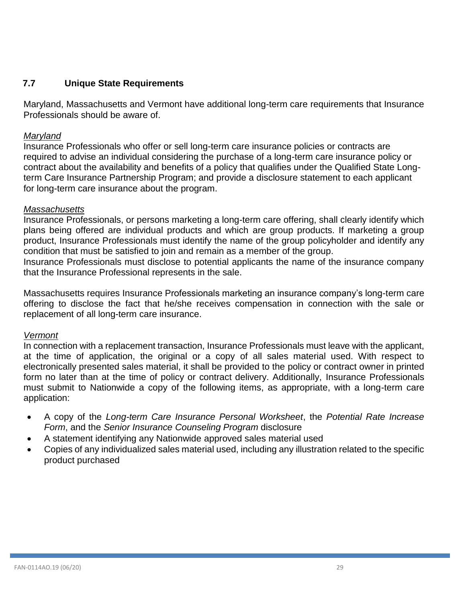# <span id="page-28-0"></span>**7.7 Unique State Requirements**

Maryland, Massachusetts and Vermont have additional long-term care requirements that Insurance Professionals should be aware of.

### *Maryland*

Insurance Professionals who offer or sell long-term care insurance policies or contracts are required to advise an individual considering the purchase of a long-term care insurance policy or contract about the availability and benefits of a policy that qualifies under the Qualified State Longterm Care Insurance Partnership Program; and provide a disclosure statement to each applicant for long-term care insurance about the program.

#### *Massachusetts*

Insurance Professionals, or persons marketing a long-term care offering, shall clearly identify which plans being offered are individual products and which are group products. If marketing a group product, Insurance Professionals must identify the name of the group policyholder and identify any condition that must be satisfied to join and remain as a member of the group.

Insurance Professionals must disclose to potential applicants the name of the insurance company that the Insurance Professional represents in the sale.

Massachusetts requires Insurance Professionals marketing an insurance company's long-term care offering to disclose the fact that he/she receives compensation in connection with the sale or replacement of all long-term care insurance.

### *Vermont*

In connection with a replacement transaction, Insurance Professionals must leave with the applicant, at the time of application, the original or a copy of all sales material used. With respect to electronically presented sales material, it shall be provided to the policy or contract owner in printed form no later than at the time of policy or contract delivery. Additionally, Insurance Professionals must submit to Nationwide a copy of the following items, as appropriate, with a long-term care application:

- A copy of the *Long-term Care Insurance Personal Worksheet*, the *Potential Rate Increase Form*, and the *Senior Insurance Counseling Program* disclosure
- A statement identifying any Nationwide approved sales material used
- Copies of any individualized sales material used, including any illustration related to the specific product purchased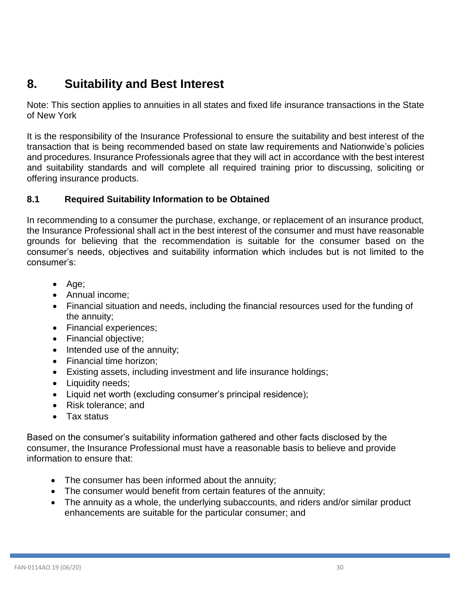# <span id="page-29-0"></span>**8. Suitability and Best Interest**

Note: This section applies to annuities in all states and fixed life insurance transactions in the State of New York

It is the responsibility of the Insurance Professional to ensure the suitability and best interest of the transaction that is being recommended based on state law requirements and Nationwide's policies and procedures. Insurance Professionals agree that they will act in accordance with the best interest and suitability standards and will complete all required training prior to discussing, soliciting or offering insurance products.

# <span id="page-29-1"></span>**8.1 Required Suitability Information to be Obtained**

In recommending to a consumer the purchase, exchange, or replacement of an insurance product, the Insurance Professional shall act in the best interest of the consumer and must have reasonable grounds for believing that the recommendation is suitable for the consumer based on the consumer's needs, objectives and suitability information which includes but is not limited to the consumer's:

- Age;
- Annual income;
- Financial situation and needs, including the financial resources used for the funding of the annuity;
- Financial experiences;
- Financial objective;
- Intended use of the annuity;
- Financial time horizon;
- Existing assets, including investment and life insurance holdings;
- Liquidity needs;
- Liquid net worth (excluding consumer's principal residence);
- Risk tolerance; and
- Tax status

Based on the consumer's suitability information gathered and other facts disclosed by the consumer, the Insurance Professional must have a reasonable basis to believe and provide information to ensure that:

- The consumer has been informed about the annuity;
- The consumer would benefit from certain features of the annuity;
- The annuity as a whole, the underlying subaccounts, and riders and/or similar product enhancements are suitable for the particular consumer; and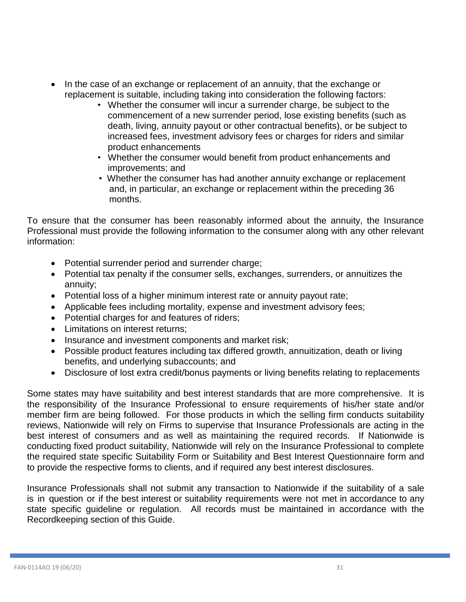- In the case of an exchange or replacement of an annuity, that the exchange or replacement is suitable, including taking into consideration the following factors:
	- Whether the consumer will incur a surrender charge, be subject to the commencement of a new surrender period, lose existing benefits (such as death, living, annuity payout or other contractual benefits), or be subject to increased fees, investment advisory fees or charges for riders and similar product enhancements
	- Whether the consumer would benefit from product enhancements and improvements; and
	- Whether the consumer has had another annuity exchange or replacement and, in particular, an exchange or replacement within the preceding 36 months.

To ensure that the consumer has been reasonably informed about the annuity, the Insurance Professional must provide the following information to the consumer along with any other relevant information:

- Potential surrender period and surrender charge;
- Potential tax penalty if the consumer sells, exchanges, surrenders, or annuitizes the annuity;
- Potential loss of a higher minimum interest rate or annuity payout rate;
- Applicable fees including mortality, expense and investment advisory fees;
- Potential charges for and features of riders;
- Limitations on interest returns;
- Insurance and investment components and market risk;
- Possible product features including tax differed growth, annuitization, death or living benefits, and underlying subaccounts; and
- Disclosure of lost extra credit/bonus payments or living benefits relating to replacements

Some states may have suitability and best interest standards that are more comprehensive. It is the responsibility of the Insurance Professional to ensure requirements of his/her state and/or member firm are being followed. For those products in which the selling firm conducts suitability reviews, Nationwide will rely on Firms to supervise that Insurance Professionals are acting in the best interest of consumers and as well as maintaining the required records. If Nationwide is conducting fixed product suitability, Nationwide will rely on the Insurance Professional to complete the required state specific Suitability Form or Suitability and Best Interest Questionnaire form and to provide the respective forms to clients, and if required any best interest disclosures.

Insurance Professionals shall not submit any transaction to Nationwide if the suitability of a sale is in question or if the best interest or suitability requirements were not met in accordance to any state specific guideline or regulation. All records must be maintained in accordance with the Recordkeeping section of this Guide.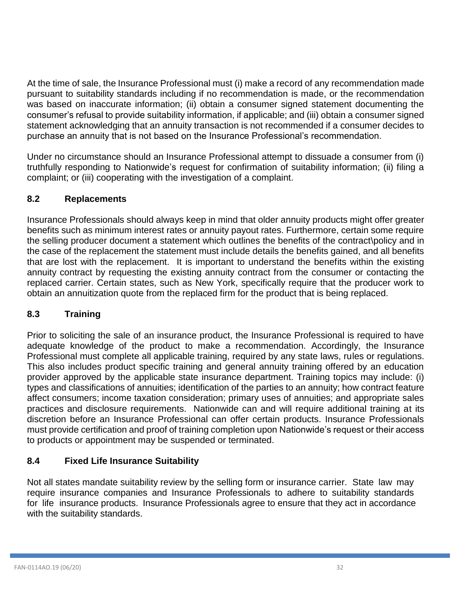<span id="page-31-3"></span>At the time of sale, the Insurance Professional must (i) make a record of any recommendation made pursuant to suitability standards including if no recommendation is made, or the recommendation was based on inaccurate information; (ii) obtain a consumer signed statement documenting the consumer's refusal to provide suitability information, if applicable; and (iii) obtain a consumer signed statement acknowledging that an annuity transaction is not recommended if a consumer decides to purchase an annuity that is not based on the Insurance Professional's recommendation.

Under no circumstance should an Insurance Professional attempt to dissuade a consumer from (i) truthfully responding to Nationwide's request for confirmation of suitability information; (ii) filing a complaint; or (iii) cooperating with the investigation of a complaint.

# <span id="page-31-0"></span>**8.2 Replacements**

Insurance Professionals should always keep in mind that older annuity products might offer greater benefits such as minimum interest rates or annuity payout rates. Furthermore, certain some require the selling producer document a statement which outlines the benefits of the contract\policy and in the case of the replacement the statement must include details the benefits gained, and all benefits that are lost with the replacement. It is important to understand the benefits within the existing annuity contract by requesting the existing annuity contract from the consumer or contacting the replaced carrier. Certain states, such as New York, specifically require that the producer work to obtain an annuitization quote from the replaced firm for the product that is being replaced.

# <span id="page-31-1"></span>**8.3 Training**

Prior to soliciting the sale of an insurance product, the Insurance Professional is required to have adequate knowledge of the product to make a recommendation. Accordingly, the Insurance Professional must complete all applicable training, required by any state laws, rules or regulations. This also includes product specific training and general annuity training offered by an education provider approved by the applicable state insurance department. Training topics may include: (i) types and classifications of annuities; identification of the parties to an annuity; how contract feature affect consumers; income taxation consideration; primary uses of annuities; and appropriate sales practices and disclosure requirements. Nationwide can and will require additional training at its discretion before an Insurance Professional can offer certain products. Insurance Professionals must provide certification and proof of training completion upon Nationwide's request or their access to products or appointment may be suspended or terminated.

# <span id="page-31-2"></span>**8.4 Fixed Life Insurance Suitability**

Not all states mandate suitability review by the selling form or insurance carrier. State law may require insurance companies and Insurance Professionals to adhere to suitability standards for life insurance products. Insurance Professionals agree to ensure that they act in accordance with the suitability standards.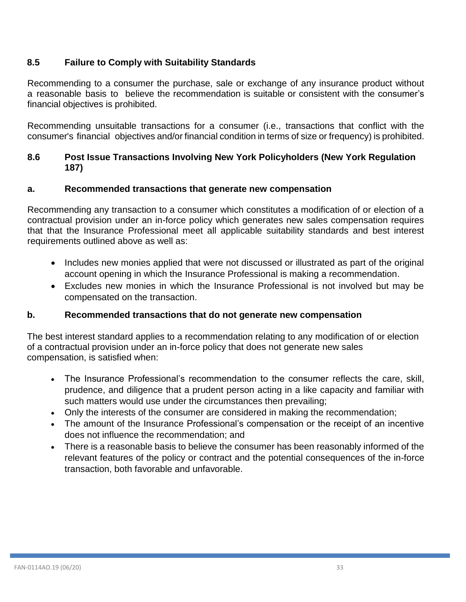# **8.5 Failure to Comply with Suitability Standards**

Recommending to a consumer the purchase, sale or exchange of any insurance product without a reasonable basis to believe the recommendation is suitable or consistent with the consumer's financial objectives is prohibited.

Recommending unsuitable transactions for a consumer (i.e., transactions that conflict with the consumer's financial objectives and/or financial condition in terms of size or frequency) is prohibited.

# <span id="page-32-0"></span>**8.6 Post Issue Transactions Involving New York Policyholders (New York Regulation 187)**

## **a. Recommended transactions that generate new compensation**

Recommending any transaction to a consumer which constitutes a modification of or election of a contractual provision under an in-force policy which generates new sales compensation requires that that the Insurance Professional meet all applicable suitability standards and best interest requirements outlined above as well as:

- Includes new monies applied that were not discussed or illustrated as part of the original account opening in which the Insurance Professional is making a recommendation.
- Excludes new monies in which the Insurance Professional is not involved but may be compensated on the transaction.

# **b. Recommended transactions that do not generate new compensation**

The best interest standard applies to a recommendation relating to any modification of or election of a contractual provision under an in-force policy that does not generate new sales compensation, is satisfied when:

- The Insurance Professional's recommendation to the consumer reflects the care, skill, prudence, and diligence that a prudent person acting in a like capacity and familiar with such matters would use under the circumstances then prevailing;
- Only the interests of the consumer are considered in making the recommendation;
- The amount of the Insurance Professional's compensation or the receipt of an incentive does not influence the recommendation; and
- There is a reasonable basis to believe the consumer has been reasonably informed of the relevant features of the policy or contract and the potential consequences of the in-force transaction, both favorable and unfavorable.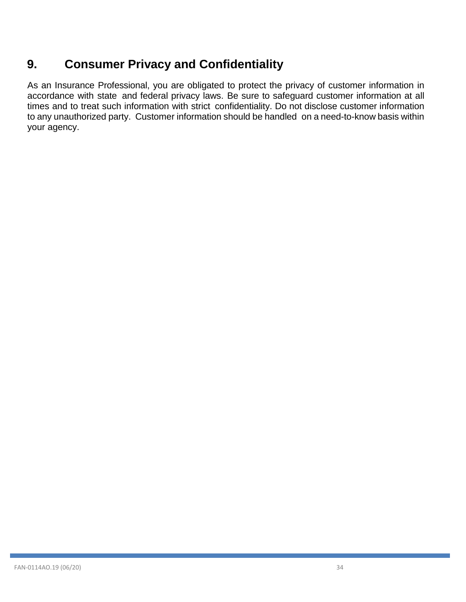# <span id="page-33-0"></span>**9. Consumer Privacy and Confidentiality**

As an Insurance Professional, you are obligated to protect the privacy of customer information in accordance with state and federal privacy laws. Be sure to safeguard customer information at all times and to treat such information with strict confidentiality. Do not disclose customer information to any unauthorized party. Customer information should be handled on a need-to-know basis within your agency.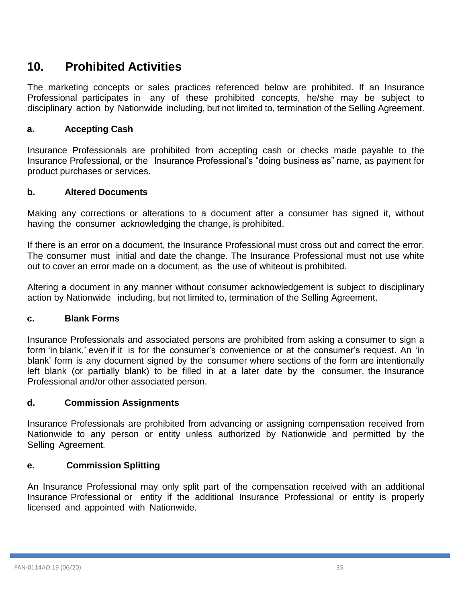# <span id="page-34-0"></span>**10. Prohibited Activities**

The marketing concepts or sales practices referenced below are prohibited. If an Insurance Professional participates in any of these prohibited concepts, he/she may be subject to disciplinary action by Nationwide including, but not limited to, termination of the Selling Agreement.

# <span id="page-34-1"></span>**a. Accepting Cash**

Insurance Professionals are prohibited from accepting cash or checks made payable to the Insurance Professional, or the Insurance Professional's "doing business as" name, as payment for product purchases or services.

### <span id="page-34-2"></span>**b. Altered Documents**

Making any corrections or alterations to a document after a consumer has signed it, without having the consumer acknowledging the change, is prohibited.

If there is an error on a document, the Insurance Professional must cross out and correct the error. The consumer must initial and date the change. The Insurance Professional must not use white out to cover an error made on a document, as the use of whiteout is prohibited.

Altering a document in any manner without consumer acknowledgement is subject to disciplinary action by Nationwide including, but not limited to, termination of the Selling Agreement.

### <span id="page-34-3"></span>**c. Blank Forms**

Insurance Professionals and associated persons are prohibited from asking a consumer to sign a form 'in blank,' even if it is for the consumer's convenience or at the consumer's request. An 'in blank' form is any document signed by the consumer where sections of the form are intentionally left blank (or partially blank) to be filled in at a later date by the consumer, the Insurance Professional and/or other associated person.

### <span id="page-34-4"></span>**d. Commission Assignments**

Insurance Professionals are prohibited from advancing or assigning compensation received from Nationwide to any person or entity unless authorized by Nationwide and permitted by the Selling Agreement.

### <span id="page-34-5"></span>**e. Commission Splitting**

An Insurance Professional may only split part of the compensation received with an additional Insurance Professional or entity if the additional Insurance Professional or entity is properly licensed and appointed with Nationwide.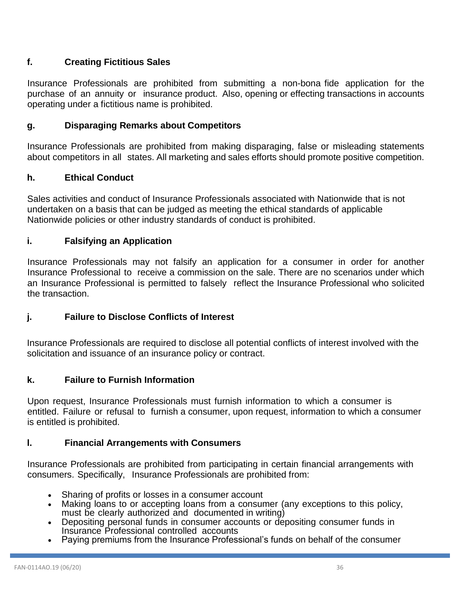# <span id="page-35-0"></span>**f. Creating Fictitious Sales**

Insurance Professionals are prohibited from submitting a non-bona fide application for the purchase of an annuity or insurance product. Also, opening or effecting transactions in accounts operating under a fictitious name is prohibited.

# <span id="page-35-1"></span>**g. Disparaging Remarks about Competitors**

Insurance Professionals are prohibited from making disparaging, false or misleading statements about competitors in all states. All marketing and sales efforts should promote positive competition.

### <span id="page-35-2"></span>**h. Ethical Conduct**

Sales activities and conduct of Insurance Professionals associated with Nationwide that is not undertaken on a basis that can be judged as meeting the ethical standards of applicable Nationwide policies or other industry standards of conduct is prohibited.

### <span id="page-35-3"></span>**i. Falsifying an Application**

Insurance Professionals may not falsify an application for a consumer in order for another Insurance Professional to receive a commission on the sale. There are no scenarios under which an Insurance Professional is permitted to falsely reflect the Insurance Professional who solicited the transaction.

# <span id="page-35-4"></span>**j. Failure to Disclose Conflicts of Interest**

Insurance Professionals are required to disclose all potential conflicts of interest involved with the solicitation and issuance of an insurance policy or contract.

### **k. Failure to Furnish Information**

Upon request, Insurance Professionals must furnish information to which a consumer is entitled. Failure or refusal to furnish a consumer, upon request, information to which a consumer is entitled is prohibited.

### <span id="page-35-5"></span>**l. Financial Arrangements with Consumers**

Insurance Professionals are prohibited from participating in certain financial arrangements with consumers. Specifically, Insurance Professionals are prohibited from:

- Sharing of profits or losses in a consumer account
- Making loans to or accepting loans from a consumer (any exceptions to this policy, must be clearly authorized and documented in writing)
- Depositing personal funds in consumer accounts or depositing consumer funds in Insurance Professional controlled accounts
- Paying premiums from the Insurance Professional's funds on behalf of the consumer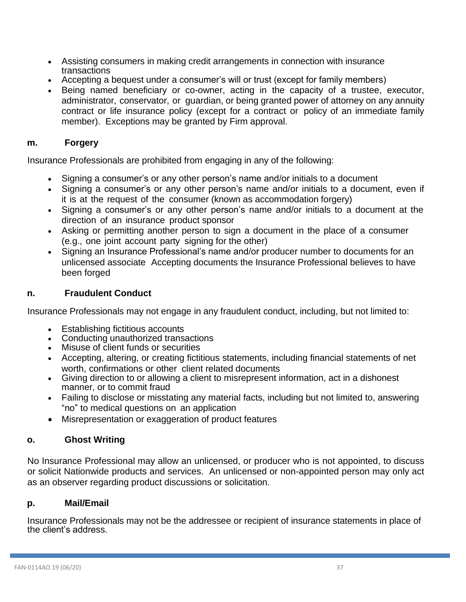- Assisting consumers in making credit arrangements in connection with insurance transactions
- Accepting a bequest under a consumer's will or trust (except for family members)
- Being named beneficiary or co-owner, acting in the capacity of a trustee, executor, administrator, conservator, or guardian, or being granted power of attorney on any annuity contract or life insurance policy (except for a contract or policy of an immediate family member). Exceptions may be granted by Firm approval.

### <span id="page-36-0"></span>**m. Forgery**

Insurance Professionals are prohibited from engaging in any of the following:

- Signing a consumer's or any other person's name and/or initials to a document
- Signing a consumer's or any other person's name and/or initials to a document, even if it is at the request of the consumer (known as accommodation forgery)
- Signing a consumer's or any other person's name and/or initials to a document at the direction of an insurance product sponsor
- Asking or permitting another person to sign a document in the place of a consumer (e.g., one joint account party signing for the other)
- Signing an Insurance Professional's name and/or producer number to documents for an unlicensed associate Accepting documents the Insurance Professional believes to have been forged

### <span id="page-36-1"></span>**n. Fraudulent Conduct**

Insurance Professionals may not engage in any fraudulent conduct, including, but not limited to:

- Establishing fictitious accounts
- Conducting unauthorized transactions
- Misuse of client funds or securities
- Accepting, altering, or creating fictitious statements, including financial statements of net worth, confirmations or other client related documents
- Giving direction to or allowing a client to misrepresent information, act in a dishonest manner, or to commit fraud
- Failing to disclose or misstating any material facts, including but not limited to, answering "no" to medical questions on an application
- Misrepresentation or exaggeration of product features

### <span id="page-36-2"></span>**o. Ghost Writing**

No Insurance Professional may allow an unlicensed, or producer who is not appointed, to discuss or solicit Nationwide products and services. An unlicensed or non-appointed person may only act as an observer regarding product discussions or solicitation.

### <span id="page-36-3"></span>**p. Mail/Email**

Insurance Professionals may not be the addressee or recipient of insurance statements in place of the client's address.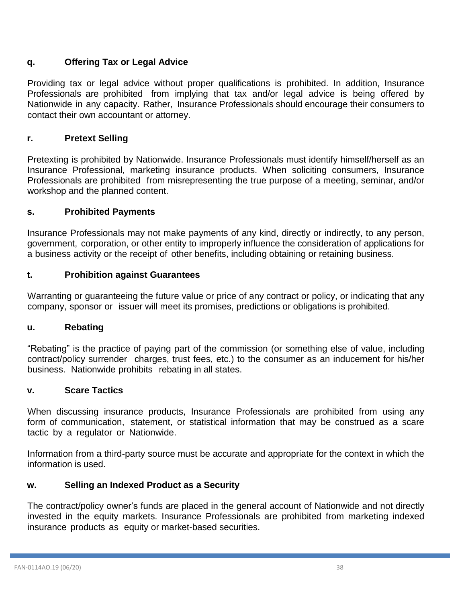# <span id="page-37-0"></span>**q. Offering Tax or Legal Advice**

Providing tax or legal advice without proper qualifications is prohibited. In addition, Insurance Professionals are prohibited from implying that tax and/or legal advice is being offered by Nationwide in any capacity. Rather, Insurance Professionals should encourage their consumers to contact their own accountant or attorney.

# **r. Pretext Selling**

Pretexting is prohibited by Nationwide. Insurance Professionals must identify himself/herself as an Insurance Professional, marketing insurance products. When soliciting consumers, Insurance Professionals are prohibited from misrepresenting the true purpose of a meeting, seminar, and/or workshop and the planned content.

## **s. Prohibited Payments**

Insurance Professionals may not make payments of any kind, directly or indirectly, to any person, government, corporation, or other entity to improperly influence the consideration of applications for a business activity or the receipt of other benefits, including obtaining or retaining business.

## **t. Prohibition against Guarantees**

Warranting or guaranteeing the future value or price of any contract or policy, or indicating that any company, sponsor or issuer will meet its promises, predictions or obligations is prohibited.

### **u. Rebating**

"Rebating" is the practice of paying part of the commission (or something else of value, including contract/policy surrender charges, trust fees, etc.) to the consumer as an inducement for his/her business. Nationwide prohibits rebating in all states.

### **v. Scare Tactics**

When discussing insurance products, Insurance Professionals are prohibited from using any form of communication, statement, or statistical information that may be construed as a scare tactic by a regulator or Nationwide.

Information from a third-party source must be accurate and appropriate for the context in which the information is used.

### **w. Selling an Indexed Product as a Security**

The contract/policy owner's funds are placed in the general account of Nationwide and not directly invested in the equity markets. Insurance Professionals are prohibited from marketing indexed insurance products as equity or market-based securities.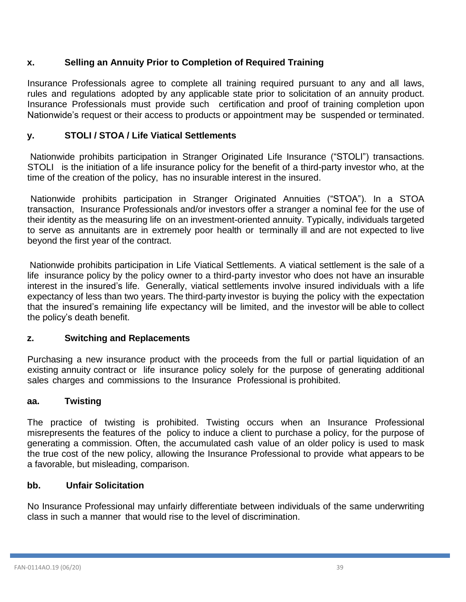# **x. Selling an Annuity Prior to Completion of Required Training**

Insurance Professionals agree to complete all training required pursuant to any and all laws, rules and regulations adopted by any applicable state prior to solicitation of an annuity product. Insurance Professionals must provide such certification and proof of training completion upon Nationwide's request or their access to products or appointment may be suspended or terminated.

# **y. STOLI / STOA / Life Viatical Settlements**

Nationwide prohibits participation in Stranger Originated Life Insurance ("STOLI") transactions. STOLI is the initiation of a life insurance policy for the benefit of a third-party investor who, at the time of the creation of the policy, has no insurable interest in the insured.

Nationwide prohibits participation in Stranger Originated Annuities ("STOA"). In a STOA transaction, Insurance Professionals and/or investors offer a stranger a nominal fee for the use of their identity as the measuring life on an investment-oriented annuity. Typically, individuals targeted to serve as annuitants are in extremely poor health or terminally ill and are not expected to live beyond the first year of the contract.

Nationwide prohibits participation in Life Viatical Settlements. A viatical settlement is the sale of a life insurance policy by the policy owner to a third-party investor who does not have an insurable interest in the insured's life. Generally, viatical settlements involve insured individuals with a life expectancy of less than two years. The third-party investor is buying the policy with the expectation that the insured's remaining life expectancy will be limited, and the investor will be able to collect the policy's death benefit.

# **z. Switching and Replacements**

Purchasing a new insurance product with the proceeds from the full or partial liquidation of an existing annuity contract or life insurance policy solely for the purpose of generating additional sales charges and commissions to the Insurance Professional is prohibited.

### **aa. Twisting**

The practice of twisting is prohibited. Twisting occurs when an Insurance Professional misrepresents the features of the policy to induce a client to purchase a policy, for the purpose of generating a commission. Often, the accumulated cash value of an older policy is used to mask the true cost of the new policy, allowing the Insurance Professional to provide what appears to be a favorable, but misleading, comparison.

### **bb. Unfair Solicitation**

No Insurance Professional may unfairly differentiate between individuals of the same underwriting class in such a manner that would rise to the level of discrimination.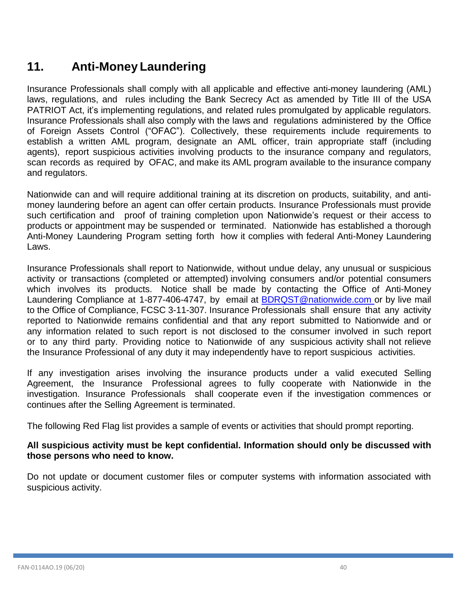# <span id="page-39-0"></span>**11. Anti-Money Laundering**

Insurance Professionals shall comply with all applicable and effective anti-money laundering (AML) laws, regulations, and rules including the Bank Secrecy Act as amended by Title III of the USA PATRIOT Act, it's implementing regulations, and related rules promulgated by applicable regulators. Insurance Professionals shall also comply with the laws and regulations administered by the Office of Foreign Assets Control ("OFAC"). Collectively, these requirements include requirements to establish a written AML program, designate an AML officer, train appropriate staff (including agents), report suspicious activities involving products to the insurance company and regulators, scan records as required by OFAC, and make its AML program available to the insurance company and regulators.

Nationwide can and will require additional training at its discretion on products, suitability, and antimoney laundering before an agent can offer certain products. Insurance Professionals must provide such certification and proof of training completion upon Nationwide's request or their access to products or appointment may be suspended or terminated. Nationwide has established a thorough Anti-Money Laundering Program setting forth how it complies with federal Anti-Money Laundering Laws.

Insurance Professionals shall report to Nationwide, without undue delay, any unusual or suspicious activity or transactions (completed or attempted) involving consumers and/or potential consumers which involves its products. Notice shall be made by contacting the Office of Anti-Money Laundering Compliance at 1-877-406-4747, by email at [BDRQST@nationwide.com](mailto:BDRQST@nationwide.com) or by live mail to the Office of Compliance, FCSC 3-11-307. Insurance Professionals shall ensure that any activity reported to Nationwide remains confidential and that any report submitted to Nationwide and or any information related to such report is not disclosed to the consumer involved in such report or to any third party. Providing notice to Nationwide of any suspicious activity shall not relieve the Insurance Professional of any duty it may independently have to report suspicious activities.

If any investigation arises involving the insurance products under a valid executed Selling Agreement, the Insurance Professional agrees to fully cooperate with Nationwide in the investigation. Insurance Professionals shall cooperate even if the investigation commences or continues after the Selling Agreement is terminated.

The following Red Flag list provides a sample of events or activities that should prompt reporting.

### **All suspicious activity must be kept confidential. Information should only be discussed with those persons who need to know.**

Do not update or document customer files or computer systems with information associated with suspicious activity.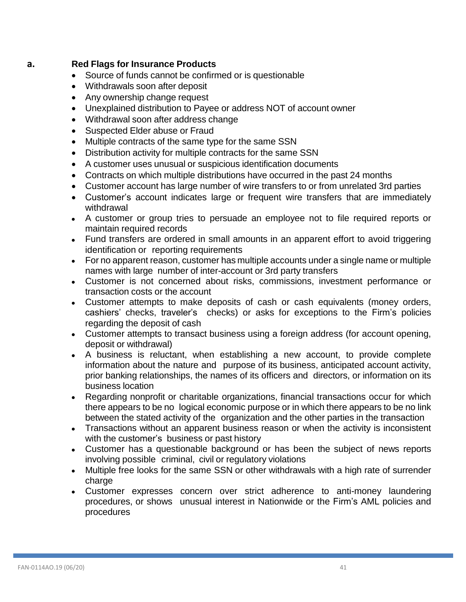# <span id="page-40-0"></span>**a. Red Flags for Insurance Products**

- Source of funds cannot be confirmed or is questionable
- Withdrawals soon after deposit
- Any ownership change request
- Unexplained distribution to Payee or address NOT of account owner
- Withdrawal soon after address change
- Suspected Elder abuse or Fraud
- Multiple contracts of the same type for the same SSN
- Distribution activity for multiple contracts for the same SSN
- A customer uses unusual or suspicious identification documents
- Contracts on which multiple distributions have occurred in the past 24 months
- Customer account has large number of wire transfers to or from unrelated 3rd parties
- Customer's account indicates large or frequent wire transfers that are immediately withdrawal
- A customer or group tries to persuade an employee not to file required reports or maintain required records
- Fund transfers are ordered in small amounts in an apparent effort to avoid triggering identification or reporting requirements
- For no apparent reason, customer has multiple accounts under a single name or multiple names with large number of inter-account or 3rd party transfers
- Customer is not concerned about risks, commissions, investment performance or transaction costs or the account
- Customer attempts to make deposits of cash or cash equivalents (money orders, cashiers' checks, traveler's checks) or asks for exceptions to the Firm's policies regarding the deposit of cash
- Customer attempts to transact business using a foreign address (for account opening, deposit or withdrawal)
- A business is reluctant, when establishing a new account, to provide complete information about the nature and purpose of its business, anticipated account activity, prior banking relationships, the names of its officers and directors, or information on its business location
- Regarding nonprofit or charitable organizations, financial transactions occur for which there appears to be no logical economic purpose or in which there appears to be no link between the stated activity of the organization and the other parties in the transaction
- Transactions without an apparent business reason or when the activity is inconsistent with the customer's business or past history
- Customer has a questionable background or has been the subject of news reports involving possible criminal, civil or regulatory violations
- Multiple free looks for the same SSN or other withdrawals with a high rate of surrender charge
- Customer expresses concern over strict adherence to anti-money laundering procedures, or shows unusual interest in Nationwide or the Firm's AML policies and procedures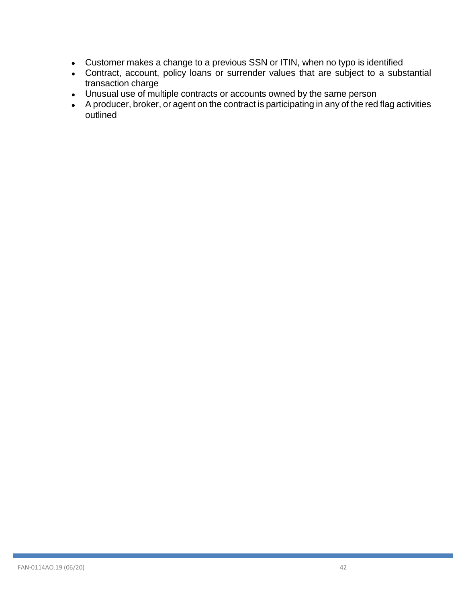- Customer makes a change to a previous SSN or ITIN, when no typo is identified
- Contract, account, policy loans or surrender values that are subject to a substantial transaction charge
- Unusual use of multiple contracts or accounts owned by the same person
- A producer, broker, or agent on the contract is participating in any of the red flag activities outlined